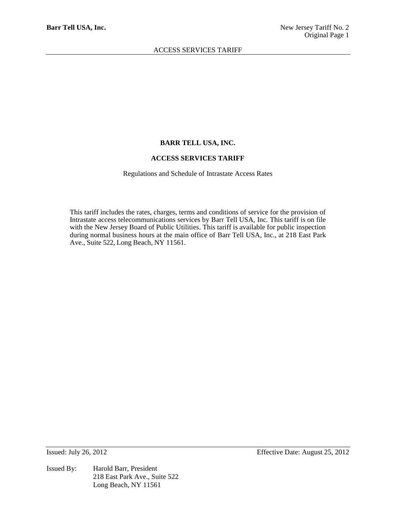### **BARR TELL USA, INC.**

#### **ACCESS SERVICES TARIFF**

Regulations and Schedule of Intrastate Access Rates

This tariff includes the rates, charges, terms and conditions of service for the provision of Intrastate access telecommunications services by Barr Tell USA, Inc. This tariff is on file with the New Jersey Board of Public Utilities. This tariff is available for public inspection during normal business hours at the main office of Barr Tell USA, Inc., at 218 East Park Ave., Suite 522, Long Beach, NY 11561.

Issued By: Harold Barr, President 218 East Park Ave., Suite 522 Long Beach, NY 11561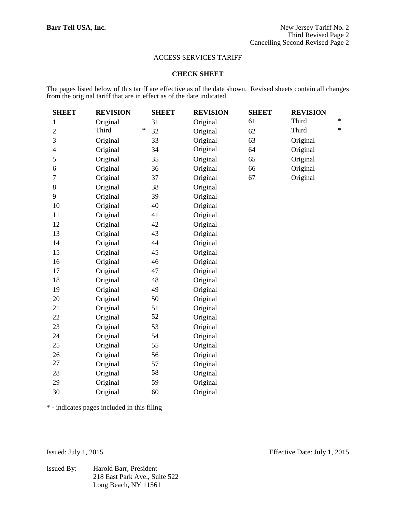#### **CHECK SHEET**

The pages listed below of this tariff are effective as of the date shown. Revised sheets contain all changes from the original tariff that are in effect as of the date indicated.

| <b>SHEET</b>             | <b>REVISION</b> | <b>SHEET</b> | <b>REVISION</b> | <b>SHEET</b> | <b>REVISION</b> |        |
|--------------------------|-----------------|--------------|-----------------|--------------|-----------------|--------|
| 1                        | Original        | 31           | Original        | 61           | Third           | $\ast$ |
| $\overline{2}$           | Third           | ∗<br>32      | Original        | 62           | Third           | $\ast$ |
| 3                        | Original        | 33           | Original        | 63           | Original        |        |
| $\overline{\mathcal{A}}$ | Original        | 34           | Original        | 64           | Original        |        |
| 5                        | Original        | 35           | Original        | 65           | Original        |        |
| 6                        | Original        | 36           | Original        | 66           | Original        |        |
| 7                        | Original        | 37           | Original        | 67           | Original        |        |
| 8                        | Original        | 38           | Original        |              |                 |        |
| 9                        | Original        | 39           | Original        |              |                 |        |
| 10                       | Original        | 40           | Original        |              |                 |        |
| 11                       | Original        | 41           | Original        |              |                 |        |
| 12                       | Original        | 42           | Original        |              |                 |        |
| 13                       | Original        | 43           | Original        |              |                 |        |
| 14                       | Original        | 44           | Original        |              |                 |        |
| 15                       | Original        | 45           | Original        |              |                 |        |
| 16                       | Original        | 46           | Original        |              |                 |        |
| 17                       | Original        | 47           | Original        |              |                 |        |
| 18                       | Original        | 48           | Original        |              |                 |        |
| 19                       | Original        | 49           | Original        |              |                 |        |
| 20                       | Original        | 50           | Original        |              |                 |        |
| 21                       | Original        | 51           | Original        |              |                 |        |
| 22                       | Original        | 52           | Original        |              |                 |        |
| 23                       | Original        | 53           | Original        |              |                 |        |
| 24                       | Original        | 54           | Original        |              |                 |        |
| 25                       | Original        | 55           | Original        |              |                 |        |
| 26                       | Original        | 56           | Original        |              |                 |        |
| 27                       | Original        | 57           | Original        |              |                 |        |
| 28                       | Original        | 58           | Original        |              |                 |        |
| 29                       | Original        | 59           | Original        |              |                 |        |
| 30                       | Original        | 60           | Original        |              |                 |        |

\* - indicates pages included in this filing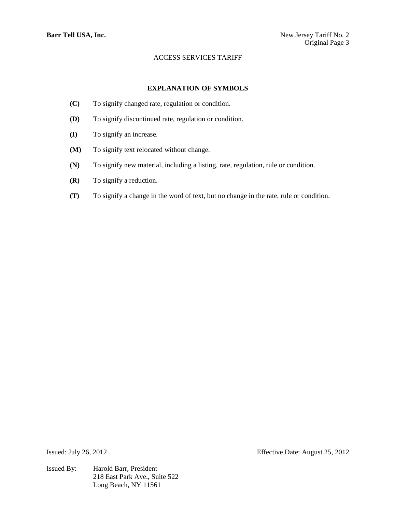## **EXPLANATION OF SYMBOLS**

- **(C)** To signify changed rate, regulation or condition.
- **(D)** To signify discontinued rate, regulation or condition.
- **(I)** To signify an increase.
- **(M)** To signify text relocated without change.
- **(N)** To signify new material, including a listing, rate, regulation, rule or condition.
- **(R)** To signify a reduction.
- **(T)** To signify a change in the word of text, but no change in the rate, rule or condition.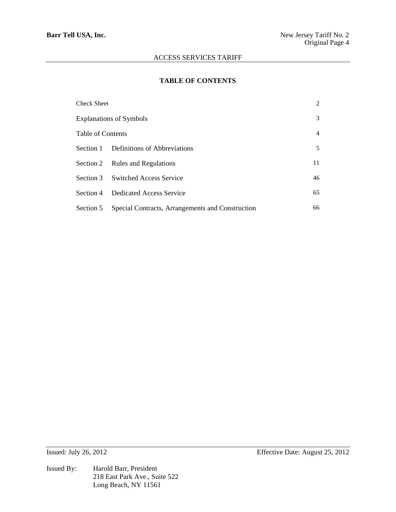## **TABLE OF CONTENTS**

| Check Sheet                    |                                                  |    |
|--------------------------------|--------------------------------------------------|----|
| <b>Explanations of Symbols</b> |                                                  |    |
| Table of Contents              |                                                  | 4  |
| Section 1                      | Definitions of Abbreviations                     | 5  |
|                                | Section 2 Rules and Regulations                  | 11 |
| Section 3                      | <b>Switched Access Service</b>                   | 46 |
| Section 4                      | Dedicated Access Service                         | 65 |
| Section 5                      | Special Contracts, Arrangements and Construction | 66 |

Issued By: Harold Barr, President 218 East Park Ave., Suite 522 Long Beach, NY 11561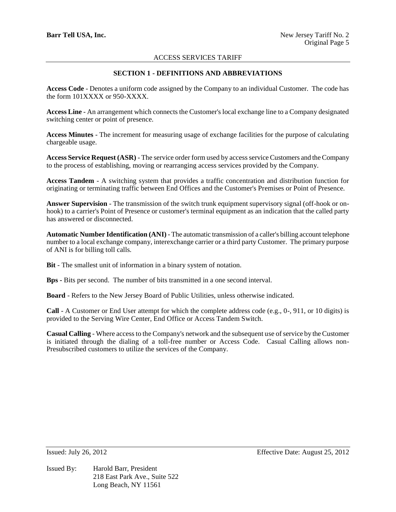# **SECTION 1 - DEFINITIONS AND ABBREVIATIONS**

**Access Code** - Denotes a uniform code assigned by the Company to an individual Customer. The code has the form 101XXXX or 950-XXXX.

**Access Line** - An arrangement which connects the Customer's local exchange line to a Company designated switching center or point of presence.

**Access Minutes** - The increment for measuring usage of exchange facilities for the purpose of calculating chargeable usage.

**Access Service Request (ASR)** - The service order form used by access service Customers and the Company to the process of establishing, moving or rearranging access services provided by the Company.

**Access Tandem** - A switching system that provides a traffic concentration and distribution function for originating or terminating traffic between End Offices and the Customer's Premises or Point of Presence.

**Answer Supervision** - The transmission of the switch trunk equipment supervisory signal (off-hook or onhook) to a carrier's Point of Presence or customer's terminal equipment as an indication that the called party has answered or disconnected.

**Automatic Number Identification (ANI)** - The automatic transmission of a caller's billing account telephone number to a local exchange company, interexchange carrier or a third party Customer. The primary purpose of ANI is for billing toll calls.

**Bit** - The smallest unit of information in a binary system of notation.

**Bps -** Bits per second. The number of bits transmitted in a one second interval.

**Board** - Refers to the New Jersey Board of Public Utilities, unless otherwise indicated.

**Call** - A Customer or End User attempt for which the complete address code (e.g., 0-, 911, or 10 digits) is provided to the Serving Wire Center, End Office or Access Tandem Switch.

**Casual Calling** - Where access to the Company's network and the subsequent use of service by the Customer is initiated through the dialing of a toll-free number or Access Code. Casual Calling allows non-Presubscribed customers to utilize the services of the Company.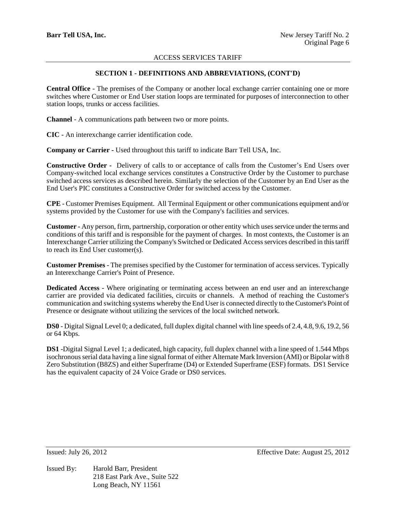# **SECTION 1 - DEFINITIONS AND ABBREVIATIONS, (CONT'D)**

**Central Office** - The premises of the Company or another local exchange carrier containing one or more switches where Customer or End User station loops are terminated for purposes of interconnection to other station loops, trunks or access facilities.

**Channel** - A communications path between two or more points.

**CIC** - An interexchange carrier identification code.

**Company or Carrier -** Used throughout this tariff to indicate Barr Tell USA, Inc.

**Constructive Order -** Delivery of calls to or acceptance of calls from the Customer's End Users over Company-switched local exchange services constitutes a Constructive Order by the Customer to purchase switched access services as described herein. Similarly the selection of the Customer by an End User as the End User's PIC constitutes a Constructive Order for switched access by the Customer.

**CPE** - Customer Premises Equipment. All Terminal Equipment or other communications equipment and/or systems provided by the Customer for use with the Company's facilities and services.

**Customer -** Any person, firm, partnership, corporation or other entity which uses service under the terms and conditions of this tariff and is responsible for the payment of charges. In most contexts, the Customer is an Interexchange Carrier utilizing the Company's Switched or Dedicated Access services described in this tariff to reach its End User customer(s).

**Customer Premises** - The premises specified by the Customer for termination of access services. Typically an Interexchange Carrier's Point of Presence.

**Dedicated Access** - Where originating or terminating access between an end user and an interexchange carrier are provided via dedicated facilities, circuits or channels. A method of reaching the Customer's communication and switching systems whereby the End User is connected directly to the Customer's Point of Presence or designate without utilizing the services of the local switched network.

**DS0** - Digital Signal Level 0; a dedicated, full duplex digital channel with line speeds of 2.4, 4.8, 9.6, 19.2, 56 or 64 Kbps.

**DS1** -Digital Signal Level 1; a dedicated, high capacity, full duplex channel with a line speed of 1.544 Mbps isochronous serial data having a line signal format of either Alternate Mark Inversion (AMI) or Bipolar with 8 Zero Substitution (B8ZS) and either Superframe (D4) or Extended Superframe (ESF) formats. DS1 Service has the equivalent capacity of 24 Voice Grade or DS0 services.

Issued By: Harold Barr, President 218 East Park Ave., Suite 522 Long Beach, NY 11561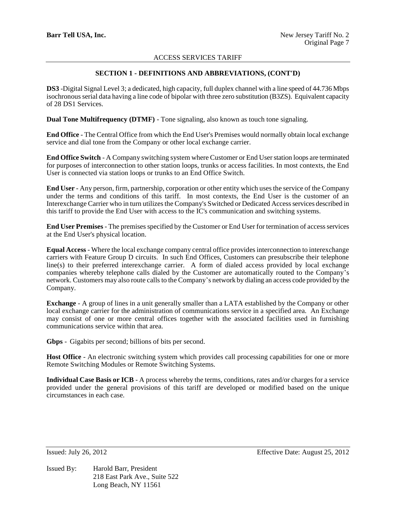## **SECTION 1 - DEFINITIONS AND ABBREVIATIONS, (CONT'D)**

**DS3** -Digital Signal Level 3; a dedicated, high capacity, full duplex channel with a line speed of 44.736 Mbps isochronous serial data having a line code of bipolar with three zero substitution (B3ZS). Equivalent capacity of 28 DS1 Services.

**Dual Tone Multifrequency (DTMF)** - Tone signaling, also known as touch tone signaling.

**End Office** - The Central Office from which the End User's Premises would normally obtain local exchange service and dial tone from the Company or other local exchange carrier.

**End Office Switch** - A Company switching system where Customer or End User station loops are terminated for purposes of interconnection to other station loops, trunks or access facilities. In most contexts, the End User is connected via station loops or trunks to an End Office Switch.

**End User** - Any person, firm, partnership, corporation or other entity which uses the service of the Company under the terms and conditions of this tariff. In most contexts, the End User is the customer of an Interexchange Carrier who in turn utilizes the Company's Switched or Dedicated Access services described in this tariff to provide the End User with access to the IC's communication and switching systems.

**End User Premises** - The premises specified by the Customer or End User for termination of access services at the End User's physical location.

**Equal Access** - Where the local exchange company central office provides interconnection to interexchange carriers with Feature Group D circuits. In such End Offices, Customers can presubscribe their telephone line(s) to their preferred interexchange carrier. A form of dialed access provided by local exchange companies whereby telephone calls dialed by the Customer are automatically routed to the Company's network. Customers may also route calls to the Company's network by dialing an access code provided by the Company.

**Exchange** - A group of lines in a unit generally smaller than a LATA established by the Company or other local exchange carrier for the administration of communications service in a specified area. An Exchange may consist of one or more central offices together with the associated facilities used in furnishing communications service within that area.

**Gbps** - Gigabits per second; billions of bits per second.

**Host Office** - An electronic switching system which provides call processing capabilities for one or more Remote Switching Modules or Remote Switching Systems.

**Individual Case Basis or ICB** - A process whereby the terms, conditions, rates and/or charges for a service provided under the general provisions of this tariff are developed or modified based on the unique circumstances in each case.

Issued By: Harold Barr, President 218 East Park Ave., Suite 522 Long Beach, NY 11561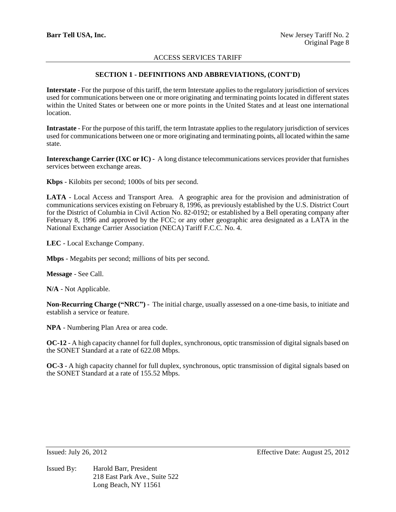## **SECTION 1 - DEFINITIONS AND ABBREVIATIONS, (CONT'D)**

**Interstate** - For the purpose of this tariff, the term Interstate applies to the regulatory jurisdiction of services used for communications between one or more originating and terminating points located in different states within the United States or between one or more points in the United States and at least one international location.

**Intrastate** - For the purpose of this tariff, the term Intrastate applies to the regulatory jurisdiction of services used for communications between one or more originating and terminating points, all located within the same state.

**Interexchange Carrier (IXC or IC) -** A long distance telecommunications services provider that furnishes services between exchange areas.

**Kbps** - Kilobits per second; 1000s of bits per second.

**LATA** - Local Access and Transport Area. A geographic area for the provision and administration of communications services existing on February 8, 1996, as previously established by the U.S. District Court for the District of Columbia in Civil Action No. 82-0192; or established by a Bell operating company after February 8, 1996 and approved by the FCC; or any other geographic area designated as a LATA in the National Exchange Carrier Association (NECA) Tariff F.C.C. No. 4.

**LEC** - Local Exchange Company.

**Mbps** - Megabits per second; millions of bits per second.

**Message** - See Call.

**N/A** - Not Applicable.

**Non-Recurring Charge ("NRC")** - The initial charge, usually assessed on a one-time basis, to initiate and establish a service or feature.

**NPA** - Numbering Plan Area or area code.

**OC-12** - A high capacity channel for full duplex, synchronous, optic transmission of digital signals based on the SONET Standard at a rate of 622.08 Mbps.

**OC-3** - A high capacity channel for full duplex, synchronous, optic transmission of digital signals based on the SONET Standard at a rate of 155.52 Mbps.

Issued By: Harold Barr, President 218 East Park Ave., Suite 522 Long Beach, NY 11561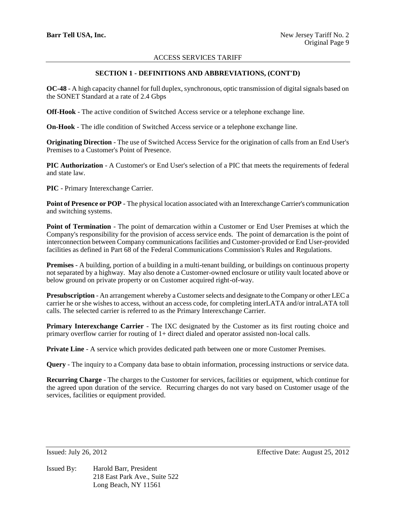# **SECTION 1 - DEFINITIONS AND ABBREVIATIONS, (CONT'D)**

**OC-48** - A high capacity channel for full duplex, synchronous, optic transmission of digital signals based on the SONET Standard at a rate of 2.4 Gbps

**Off-Hook** - The active condition of Switched Access service or a telephone exchange line.

**On-Hook** - The idle condition of Switched Access service or a telephone exchange line.

**Originating Direction** - The use of Switched Access Service for the origination of calls from an End User's Premises to a Customer's Point of Presence.

**PIC Authorization** - A Customer's or End User's selection of a PIC that meets the requirements of federal and state law.

**PIC** - Primary Interexchange Carrier.

**Point of Presence or POP** - The physical location associated with an Interexchange Carrier's communication and switching systems.

**Point of Termination** - The point of demarcation within a Customer or End User Premises at which the Company's responsibility for the provision of access service ends. The point of demarcation is the point of interconnection between Company communications facilities and Customer-provided or End User-provided facilities as defined in Part 68 of the Federal Communications Commission's Rules and Regulations.

**Premises** - A building, portion of a building in a multi-tenant building, or buildings on continuous property not separated by a highway. May also denote a Customer-owned enclosure or utility vault located above or below ground on private property or on Customer acquired right-of-way.

**Presubscription** - An arrangement whereby a Customer selects and designate to the Company or other LEC a carrier he or she wishes to access, without an access code, for completing interLATA and/or intraLATA toll calls. The selected carrier is referred to as the Primary Interexchange Carrier.

**Primary Interexchange Carrier** - The IXC designated by the Customer as its first routing choice and primary overflow carrier for routing of 1+ direct dialed and operator assisted non-local calls.

**Private Line** - A service which provides dedicated path between one or more Customer Premises.

**Query** - The inquiry to a Company data base to obtain information, processing instructions or service data.

**Recurring Charge** - The charges to the Customer for services, facilities or equipment, which continue for the agreed upon duration of the service. Recurring charges do not vary based on Customer usage of the services, facilities or equipment provided.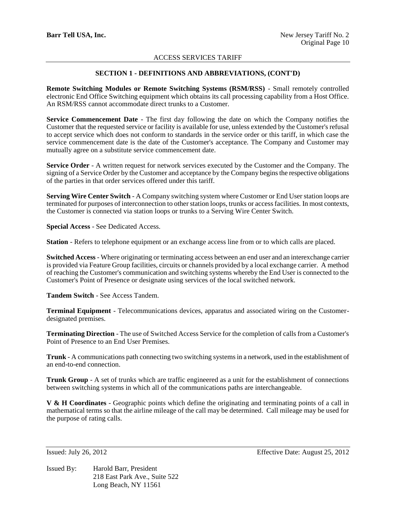# **SECTION 1 - DEFINITIONS AND ABBREVIATIONS, (CONT'D)**

**Remote Switching Modules or Remote Switching Systems (RSM/RSS)** - Small remotely controlled electronic End Office Switching equipment which obtains its call processing capability from a Host Office. An RSM/RSS cannot accommodate direct trunks to a Customer.

**Service Commencement Date** - The first day following the date on which the Company notifies the Customer that the requested service or facility is available for use, unless extended by the Customer's refusal to accept service which does not conform to standards in the service order or this tariff, in which case the service commencement date is the date of the Customer's acceptance. The Company and Customer may mutually agree on a substitute service commencement date.

**Service Order** - A written request for network services executed by the Customer and the Company. The signing of a Service Order by the Customer and acceptance by the Company begins the respective obligations of the parties in that order services offered under this tariff.

**Serving Wire Center Switch** - A Company switching system where Customer or End User station loops are terminated for purposes of interconnection to other station loops, trunks or access facilities. In most contexts, the Customer is connected via station loops or trunks to a Serving Wire Center Switch.

**Special Access** - See Dedicated Access.

**Station** - Refers to telephone equipment or an exchange access line from or to which calls are placed.

**Switched Access** - Where originating or terminating access between an end user and an interexchange carrier is provided via Feature Group facilities, circuits or channels provided by a local exchange carrier. A method of reaching the Customer's communication and switching systems whereby the End User is connected to the Customer's Point of Presence or designate using services of the local switched network.

**Tandem Switch** - See Access Tandem.

**Terminal Equipment** - Telecommunications devices, apparatus and associated wiring on the Customerdesignated premises.

**Terminating Direction** - The use of Switched Access Service for the completion of calls from a Customer's Point of Presence to an End User Premises.

**Trunk** - A communications path connecting two switching systems in a network, used in the establishment of an end-to-end connection.

**Trunk Group** - A set of trunks which are traffic engineered as a unit for the establishment of connections between switching systems in which all of the communications paths are interchangeable.

**V & H Coordinates** - Geographic points which define the originating and terminating points of a call in mathematical terms so that the airline mileage of the call may be determined. Call mileage may be used for the purpose of rating calls.

Issued By: Harold Barr, President 218 East Park Ave., Suite 522 Long Beach, NY 11561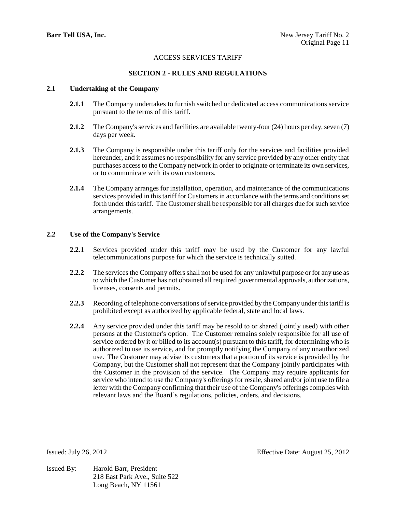# **SECTION 2 - RULES AND REGULATIONS**

### **2.1 Undertaking of the Company**

- **2.1.1** The Company undertakes to furnish switched or dedicated access communications service pursuant to the terms of this tariff.
- **2.1.2** The Company's services and facilities are available twenty-four (24) hours per day, seven (7) days per week.
- **2.1.3** The Company is responsible under this tariff only for the services and facilities provided hereunder, and it assumes no responsibility for any service provided by any other entity that purchases access to the Company network in order to originate or terminate its own services, or to communicate with its own customers.
- **2.1.4** The Company arranges for installation, operation, and maintenance of the communications services provided in this tariff for Customers in accordance with the terms and conditions set forth under this tariff. The Customer shall be responsible for all charges due for such service arrangements.

## **2.2 Use of the Company's Service**

- **2.2.1** Services provided under this tariff may be used by the Customer for any lawful telecommunications purpose for which the service is technically suited.
- **2.2.2** The services the Company offers shall not be used for any unlawful purpose or for any use as to which the Customer has not obtained all required governmental approvals, authorizations, licenses, consents and permits.
- **2.2.3** Recording of telephone conversations of service provided by the Company under this tariff is prohibited except as authorized by applicable federal, state and local laws.
- **2.2.4** Any service provided under this tariff may be resold to or shared (jointly used) with other persons at the Customer's option. The Customer remains solely responsible for all use of service ordered by it or billed to its account(s) pursuant to this tariff, for determining who is authorized to use its service, and for promptly notifying the Company of any unauthorized use. The Customer may advise its customers that a portion of its service is provided by the Company, but the Customer shall not represent that the Company jointly participates with the Customer in the provision of the service. The Company may require applicants for service who intend to use the Company's offerings for resale, shared and/or joint use to file a letter with the Company confirming that their use of the Company's offerings complies with relevant laws and the Board's regulations, policies, orders, and decisions.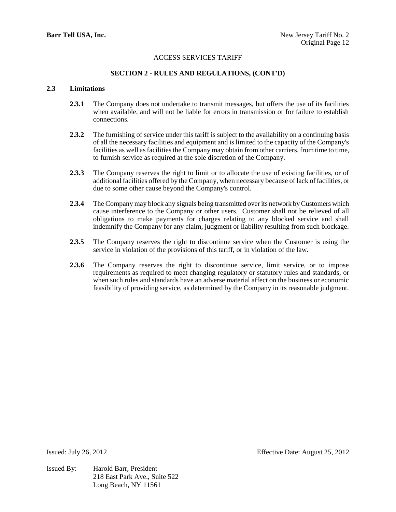## **SECTION 2 - RULES AND REGULATIONS, (CONT'D)**

## **2.3 Limitations**

- **2.3.1** The Company does not undertake to transmit messages, but offers the use of its facilities when available, and will not be liable for errors in transmission or for failure to establish connections.
- **2.3.2** The furnishing of service under this tariff is subject to the availability on a continuing basis of all the necessary facilities and equipment and is limited to the capacity of the Company's facilities as well as facilities the Company may obtain from other carriers, from time to time, to furnish service as required at the sole discretion of the Company.
- **2.3.3** The Company reserves the right to limit or to allocate the use of existing facilities, or of additional facilities offered by the Company, when necessary because of lack of facilities, or due to some other cause beyond the Company's control.
- **2.3.4** The Company may block any signals being transmitted over its network by Customers which cause interference to the Company or other users. Customer shall not be relieved of all obligations to make payments for charges relating to any blocked service and shall indemnify the Company for any claim, judgment or liability resulting from such blockage.
- **2.3.5** The Company reserves the right to discontinue service when the Customer is using the service in violation of the provisions of this tariff, or in violation of the law.
- **2.3.6** The Company reserves the right to discontinue service, limit service, or to impose requirements as required to meet changing regulatory or statutory rules and standards, or when such rules and standards have an adverse material affect on the business or economic feasibility of providing service, as determined by the Company in its reasonable judgment.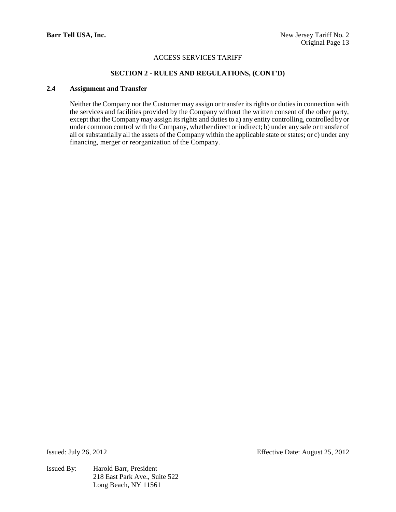# **SECTION 2 - RULES AND REGULATIONS, (CONT'D)**

## **2.4 Assignment and Transfer**

Neither the Company nor the Customer may assign or transfer its rights or duties in connection with the services and facilities provided by the Company without the written consent of the other party, except that the Company may assign its rights and duties to a) any entity controlling, controlled by or under common control with the Company, whether direct or indirect; b) under any sale or transfer of all or substantially all the assets of the Company within the applicable state or states; or c) under any financing, merger or reorganization of the Company.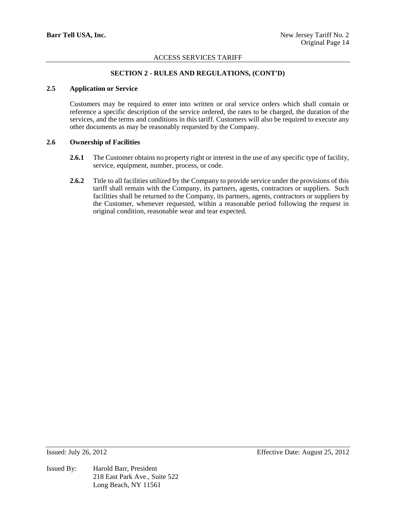# **SECTION 2 - RULES AND REGULATIONS, (CONT'D)**

### **2.5 Application or Service**

Customers may be required to enter into written or oral service orders which shall contain or reference a specific description of the service ordered, the rates to be charged, the duration of the services, and the terms and conditions in this tariff. Customers will also be required to execute any other documents as may be reasonably requested by the Company.

## **2.6 Ownership of Facilities**

- 2.6.1 The Customer obtains no property right or interest in the use of any specific type of facility, service, equipment, number, process, or code.
- **2.6.2** Title to all facilities utilized by the Company to provide service under the provisions of this tariff shall remain with the Company, its partners, agents, contractors or suppliers. Such facilities shall be returned to the Company, its partners, agents, contractors or suppliers by the Customer, whenever requested, within a reasonable period following the request in original condition, reasonable wear and tear expected.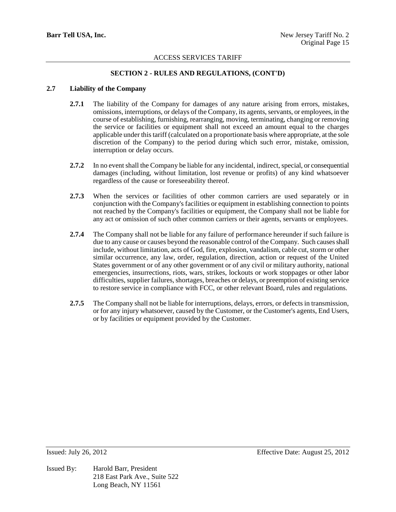# **SECTION 2 - RULES AND REGULATIONS, (CONT'D)**

## **2.7 Liability of the Company**

- **2.7.1** The liability of the Company for damages of any nature arising from errors, mistakes, omissions, interruptions, or delays of the Company, its agents, servants, or employees, in the course of establishing, furnishing, rearranging, moving, terminating, changing or removing the service or facilities or equipment shall not exceed an amount equal to the charges applicable under this tariff (calculated on a proportionate basis where appropriate, at the sole discretion of the Company) to the period during which such error, mistake, omission, interruption or delay occurs.
- **2.7.2** In no event shall the Company be liable for any incidental, indirect, special, or consequential damages (including, without limitation, lost revenue or profits) of any kind whatsoever regardless of the cause or foreseeability thereof.
- **2.7.3** When the services or facilities of other common carriers are used separately or in conjunction with the Company's facilities or equipment in establishing connection to points not reached by the Company's facilities or equipment, the Company shall not be liable for any act or omission of such other common carriers or their agents, servants or employees.
- **2.7.4** The Company shall not be liable for any failure of performance hereunder if such failure is due to any cause or causes beyond the reasonable control of the Company. Such causes shall include, without limitation, acts of God, fire, explosion, vandalism, cable cut, storm or other similar occurrence, any law, order, regulation, direction, action or request of the United States government or of any other government or of any civil or military authority, national emergencies, insurrections, riots, wars, strikes, lockouts or work stoppages or other labor difficulties, supplier failures, shortages, breaches or delays, or preemption of existing service to restore service in compliance with FCC, or other relevant Board, rules and regulations.
- **2.7.5** The Company shall not be liable for interruptions, delays, errors, or defects in transmission, or for any injury whatsoever, caused by the Customer, or the Customer's agents, End Users, or by facilities or equipment provided by the Customer.

Issued By: Harold Barr, President 218 East Park Ave., Suite 522 Long Beach, NY 11561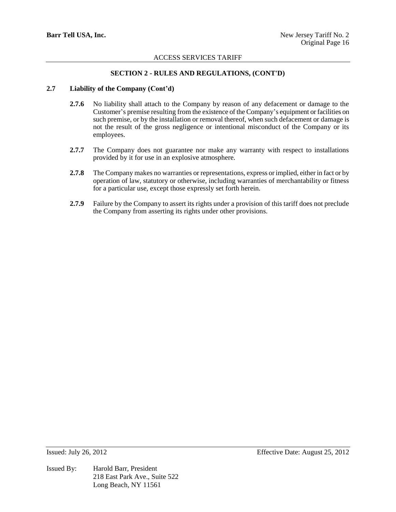## **SECTION 2 - RULES AND REGULATIONS, (CONT'D)**

## **2.7 Liability of the Company (Cont'd)**

- **2.7.6** No liability shall attach to the Company by reason of any defacement or damage to the Customer's premise resulting from the existence of the Company's equipment or facilities on such premise, or by the installation or removal thereof, when such defacement or damage is not the result of the gross negligence or intentional misconduct of the Company or its employees.
- 2.7.7 The Company does not guarantee nor make any warranty with respect to installations provided by it for use in an explosive atmosphere.
- **2.7.8** The Company makes no warranties or representations, express or implied, either in fact or by operation of law, statutory or otherwise, including warranties of merchantability or fitness for a particular use, except those expressly set forth herein.
- **2.7.9** Failure by the Company to assert its rights under a provision of this tariff does not preclude the Company from asserting its rights under other provisions.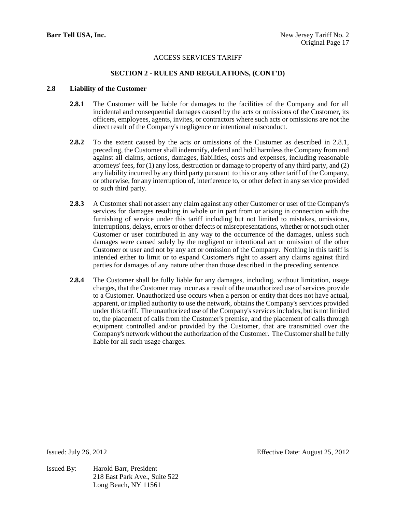## **SECTION 2 - RULES AND REGULATIONS, (CONT'D)**

## **2.8 Liability of the Customer**

- **2.8.1** The Customer will be liable for damages to the facilities of the Company and for all incidental and consequential damages caused by the acts or omissions of the Customer, its officers, employees, agents, invites, or contractors where such acts or omissions are not the direct result of the Company's negligence or intentional misconduct.
- **2.8.2** To the extent caused by the acts or omissions of the Customer as described in 2.8.1, preceding, the Customer shall indemnify, defend and hold harmless the Company from and against all claims, actions, damages, liabilities, costs and expenses, including reasonable attorneys' fees, for (1) any loss, destruction or damage to property of any third party, and (2) any liability incurred by any third party pursuant to this or any other tariff of the Company, or otherwise, for any interruption of, interference to, or other defect in any service provided to such third party.
- **2.8.3** A Customer shall not assert any claim against any other Customer or user of the Company's services for damages resulting in whole or in part from or arising in connection with the furnishing of service under this tariff including but not limited to mistakes, omissions, interruptions, delays, errors or other defects or misrepresentations, whether or not such other Customer or user contributed in any way to the occurrence of the damages, unless such damages were caused solely by the negligent or intentional act or omission of the other Customer or user and not by any act or omission of the Company. Nothing in this tariff is intended either to limit or to expand Customer's right to assert any claims against third parties for damages of any nature other than those described in the preceding sentence.
- **2.8.4** The Customer shall be fully liable for any damages, including, without limitation, usage charges, that the Customer may incur as a result of the unauthorized use of services provide to a Customer. Unauthorized use occurs when a person or entity that does not have actual, apparent, or implied authority to use the network, obtains the Company's services provided under this tariff. The unauthorized use of the Company's services includes, but is not limited to, the placement of calls from the Customer's premise, and the placement of calls through equipment controlled and/or provided by the Customer, that are transmitted over the Company's network without the authorization of the Customer. The Customer shall be fully liable for all such usage charges.

Issued By: Harold Barr, President 218 East Park Ave., Suite 522 Long Beach, NY 11561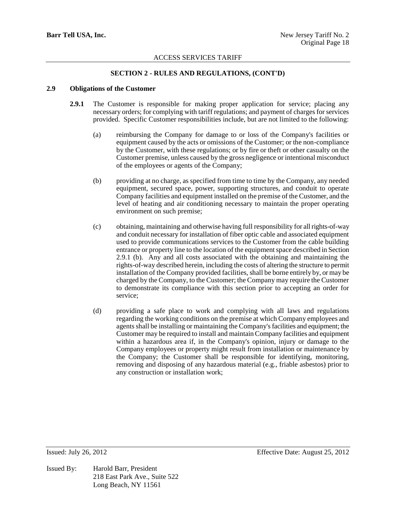## **SECTION 2 - RULES AND REGULATIONS, (CONT'D)**

## **2.9 Obligations of the Customer**

- **2.9.1** The Customer is responsible for making proper application for service; placing any necessary orders; for complying with tariff regulations; and payment of charges for services provided. Specific Customer responsibilities include, but are not limited to the following:
	- (a) reimbursing the Company for damage to or loss of the Company's facilities or equipment caused by the acts or omissions of the Customer; or the non-compliance by the Customer, with these regulations; or by fire or theft or other casualty on the Customer premise, unless caused by the gross negligence or intentional misconduct of the employees or agents of the Company;
	- (b) providing at no charge, as specified from time to time by the Company, any needed equipment, secured space, power, supporting structures, and conduit to operate Company facilities and equipment installed on the premise of the Customer, and the level of heating and air conditioning necessary to maintain the proper operating environment on such premise;
	- (c) obtaining, maintaining and otherwise having full responsibility for all rights-of-way and conduit necessary for installation of fiber optic cable and associated equipment used to provide communications services to the Customer from the cable building entrance or property line to the location of the equipment space described in Section 2.9.1 (b). Any and all costs associated with the obtaining and maintaining the rights-of-way described herein, including the costs of altering the structure to permit installation of the Company provided facilities, shall be borne entirely by, or may be charged by the Company, to the Customer; the Company may require the Customer to demonstrate its compliance with this section prior to accepting an order for service;
	- (d) providing a safe place to work and complying with all laws and regulations regarding the working conditions on the premise at which Company employees and agents shall be installing or maintaining the Company's facilities and equipment; the Customer may be required to install and maintain Company facilities and equipment within a hazardous area if, in the Company's opinion, injury or damage to the Company employees or property might result from installation or maintenance by the Company; the Customer shall be responsible for identifying, monitoring, removing and disposing of any hazardous material (e.g., friable asbestos) prior to any construction or installation work;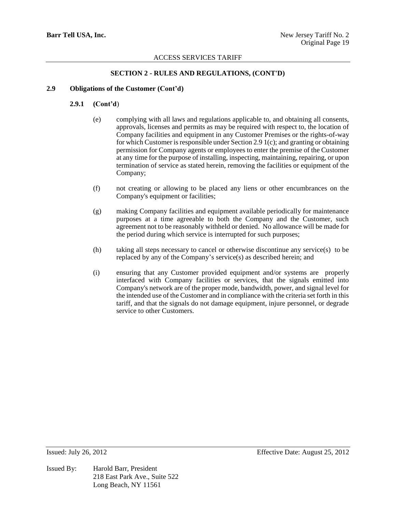## **SECTION 2 - RULES AND REGULATIONS, (CONT'D)**

## **2.9 Obligations of the Customer (Cont'd)**

### **2.9.1 (Cont'd**)

- (e) complying with all laws and regulations applicable to, and obtaining all consents, approvals, licenses and permits as may be required with respect to, the location of Company facilities and equipment in any Customer Premises or the rights-of-way for which Customer is responsible under Section 2.9 1(c); and granting or obtaining permission for Company agents or employees to enter the premise of the Customer at any time for the purpose of installing, inspecting, maintaining, repairing, or upon termination of service as stated herein, removing the facilities or equipment of the Company;
- (f) not creating or allowing to be placed any liens or other encumbrances on the Company's equipment or facilities;
- (g) making Company facilities and equipment available periodically for maintenance purposes at a time agreeable to both the Company and the Customer, such agreement not to be reasonably withheld or denied. No allowance will be made for the period during which service is interrupted for such purposes;
- (h) taking all steps necessary to cancel or otherwise discontinue any service(s) to be replaced by any of the Company's service(s) as described herein; and
- (i) ensuring that any Customer provided equipment and/or systems are properly interfaced with Company facilities or services, that the signals emitted into Company's network are of the proper mode, bandwidth, power, and signal level for the intended use of the Customer and in compliance with the criteria set forth in this tariff, and that the signals do not damage equipment, injure personnel, or degrade service to other Customers.

Issued By: Harold Barr, President 218 East Park Ave., Suite 522 Long Beach, NY 11561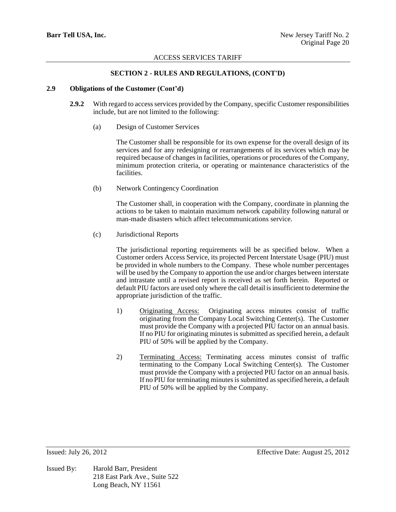## **SECTION 2 - RULES AND REGULATIONS, (CONT'D)**

## **2.9 Obligations of the Customer (Cont'd)**

- **2.9.2** With regard to access services provided by the Company, specific Customer responsibilities include, but are not limited to the following:
	- (a) Design of Customer Services

The Customer shall be responsible for its own expense for the overall design of its services and for any redesigning or rearrangements of its services which may be required because of changes in facilities, operations or procedures of the Company, minimum protection criteria, or operating or maintenance characteristics of the facilities.

(b) Network Contingency Coordination

The Customer shall, in cooperation with the Company, coordinate in planning the actions to be taken to maintain maximum network capability following natural or man-made disasters which affect telecommunications service.

(c) Jurisdictional Reports

The jurisdictional reporting requirements will be as specified below. When a Customer orders Access Service, its projected Percent Interstate Usage (PIU) must be provided in whole numbers to the Company. These whole number percentages will be used by the Company to apportion the use and/or charges between interstate and intrastate until a revised report is received as set forth herein. Reported or default PIU factors are used only where the call detail is insufficient to determine the appropriate jurisdiction of the traffic.

- 1) Originating Access: Originating access minutes consist of traffic originating from the Company Local Switching Center(s). The Customer must provide the Company with a projected PIU factor on an annual basis. If no PIU for originating minutes is submitted as specified herein, a default PIU of 50% will be applied by the Company.
- 2) Terminating Access: Terminating access minutes consist of traffic terminating to the Company Local Switching Center(s). The Customer must provide the Company with a projected PIU factor on an annual basis. If no PIU for terminating minutes is submitted as specified herein, a default PIU of 50% will be applied by the Company.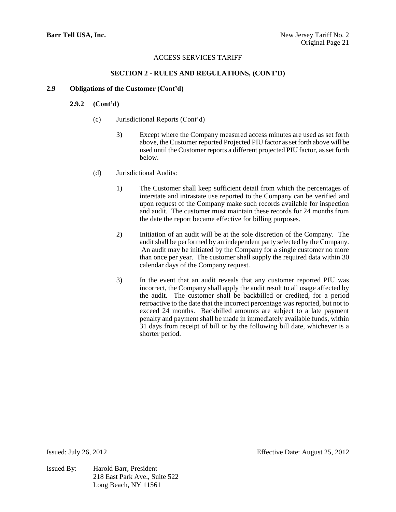## **SECTION 2 - RULES AND REGULATIONS, (CONT'D)**

# **2.9 Obligations of the Customer (Cont'd)**

## **2.9.2 (Cont'd)**

- (c) Jurisdictional Reports (Cont'd)
	- 3) Except where the Company measured access minutes are used as set forth above, the Customer reported Projected PIU factor as set forth above will be used until the Customer reports a different projected PIU factor, as set forth below.
- (d) Jurisdictional Audits:
	- 1) The Customer shall keep sufficient detail from which the percentages of interstate and intrastate use reported to the Company can be verified and upon request of the Company make such records available for inspection and audit. The customer must maintain these records for 24 months from the date the report became effective for billing purposes.
	- 2) Initiation of an audit will be at the sole discretion of the Company. The audit shall be performed by an independent party selected by the Company. An audit may be initiated by the Company for a single customer no more than once per year. The customer shall supply the required data within 30 calendar days of the Company request.
	- 3) In the event that an audit reveals that any customer reported PIU was incorrect, the Company shall apply the audit result to all usage affected by the audit. The customer shall be backbilled or credited, for a period retroactive to the date that the incorrect percentage was reported, but not to exceed 24 months. Backbilled amounts are subject to a late payment penalty and payment shall be made in immediately available funds, within 31 days from receipt of bill or by the following bill date, whichever is a shorter period.

Issued By: Harold Barr, President 218 East Park Ave., Suite 522 Long Beach, NY 11561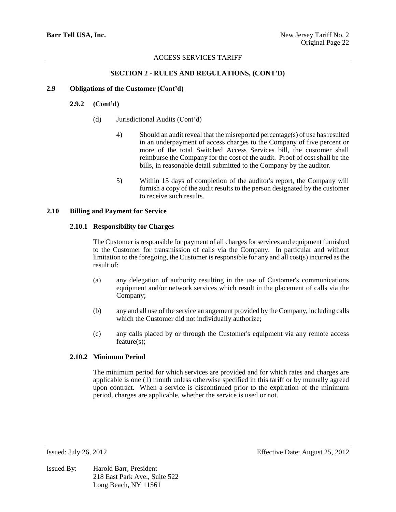## **SECTION 2 - RULES AND REGULATIONS, (CONT'D)**

## **2.9 Obligations of the Customer (Cont'd)**

### **2.9.2 (Cont'd)**

- (d) Jurisdictional Audits (Cont'd)
	- 4) Should an audit reveal that the misreported percentage(s) of use has resulted in an underpayment of access charges to the Company of five percent or more of the total Switched Access Services bill, the customer shall reimburse the Company for the cost of the audit. Proof of cost shall be the bills, in reasonable detail submitted to the Company by the auditor.
	- 5) Within 15 days of completion of the auditor's report, the Company will furnish a copy of the audit results to the person designated by the customer to receive such results.

#### **2.10 Billing and Payment for Service**

### **2.10.1 Responsibility for Charges**

The Customer is responsible for payment of all charges for services and equipment furnished to the Customer for transmission of calls via the Company. In particular and without limitation to the foregoing, the Customer is responsible for any and all cost(s) incurred as the result of:

- (a) any delegation of authority resulting in the use of Customer's communications equipment and/or network services which result in the placement of calls via the Company;
- (b) any and all use of the service arrangement provided by the Company, including calls which the Customer did not individually authorize;
- (c) any calls placed by or through the Customer's equipment via any remote access feature(s);

## **2.10.2 Minimum Period**

The minimum period for which services are provided and for which rates and charges are applicable is one (1) month unless otherwise specified in this tariff or by mutually agreed upon contract. When a service is discontinued prior to the expiration of the minimum period, charges are applicable, whether the service is used or not.

Issued By: Harold Barr, President 218 East Park Ave., Suite 522 Long Beach, NY 11561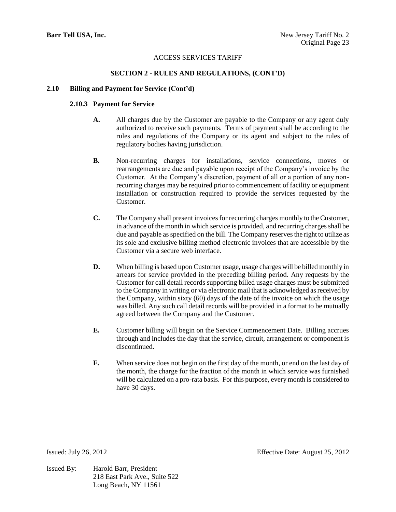# **SECTION 2 - RULES AND REGULATIONS, (CONT'D)**

## **2.10 Billing and Payment for Service (Cont'd)**

## **2.10.3 Payment for Service**

- **A.** All charges due by the Customer are payable to the Company or any agent duly authorized to receive such payments. Terms of payment shall be according to the rules and regulations of the Company or its agent and subject to the rules of regulatory bodies having jurisdiction.
- **B.** Non-recurring charges for installations, service connections, moves or rearrangements are due and payable upon receipt of the Company's invoice by the Customer. At the Company's discretion, payment of all or a portion of any nonrecurring charges may be required prior to commencement of facility or equipment installation or construction required to provide the services requested by the Customer.
- **C.** The Company shall present invoices for recurring charges monthly to the Customer, in advance of the month in which service is provided, and recurring charges shall be due and payable as specified on the bill. The Company reserves the right to utilize as its sole and exclusive billing method electronic invoices that are accessible by the Customer via a secure web interface.
- **D.** When billing is based upon Customer usage, usage charges will be billed monthly in arrears for service provided in the preceding billing period. Any requests by the Customer for call detail records supporting billed usage charges must be submitted to the Company in writing or via electronic mail that is acknowledged as received by the Company, within sixty (60) days of the date of the invoice on which the usage was billed. Any such call detail records will be provided in a format to be mutually agreed between the Company and the Customer.
- **E.** Customer billing will begin on the Service Commencement Date. Billing accrues through and includes the day that the service, circuit, arrangement or component is discontinued.
- **F.** When service does not begin on the first day of the month, or end on the last day of the month, the charge for the fraction of the month in which service was furnished will be calculated on a pro-rata basis. For this purpose, every month is considered to have 30 days.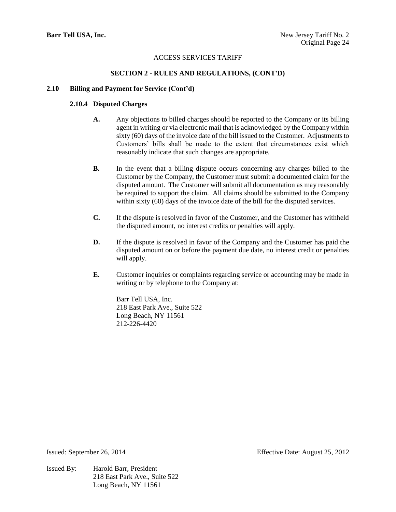# **SECTION 2 - RULES AND REGULATIONS, (CONT'D)**

## **2.10 Billing and Payment for Service (Cont'd)**

## **2.10.4 Disputed Charges**

- **A.** Any objections to billed charges should be reported to the Company or its billing agent in writing or via electronic mail that is acknowledged by the Company within sixty (60) days of the invoice date of the bill issued to the Customer. Adjustments to Customers' bills shall be made to the extent that circumstances exist which reasonably indicate that such changes are appropriate.
- **B.** In the event that a billing dispute occurs concerning any charges billed to the Customer by the Company, the Customer must submit a documented claim for the disputed amount. The Customer will submit all documentation as may reasonably be required to support the claim. All claims should be submitted to the Company within sixty (60) days of the invoice date of the bill for the disputed services.
- **C.** If the dispute is resolved in favor of the Customer, and the Customer has withheld the disputed amount, no interest credits or penalties will apply.
- **D.** If the dispute is resolved in favor of the Company and the Customer has paid the disputed amount on or before the payment due date, no interest credit or penalties will apply.
- **E.** Customer inquiries or complaints regarding service or accounting may be made in writing or by telephone to the Company at:

Barr Tell USA, Inc. 218 East Park Ave., Suite 522 Long Beach, NY 11561 212-226-4420

Issued By: Harold Barr, President 218 East Park Ave., Suite 522 Long Beach, NY 11561

Issued: September 26, 2014 Effective Date: August 25, 2012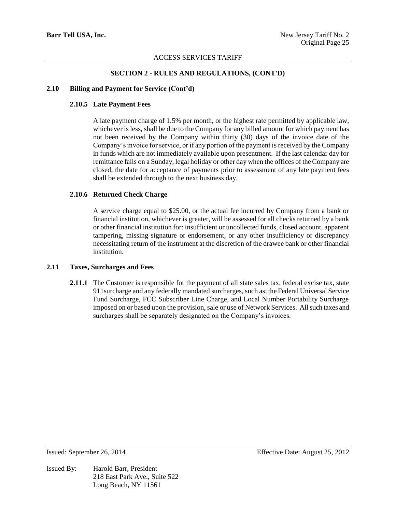# **SECTION 2 - RULES AND REGULATIONS, (CONT'D)**

## **2.10 Billing and Payment for Service (Cont'd)**

## **2.10.5 Late Payment Fees**

A late payment charge of 1.5% per month, or the highest rate permitted by applicable law, whichever is less, shall be due to the Company for any billed amount for which payment has not been received by the Company within thirty (30) days of the invoice date of the Company's invoice for service, or if any portion of the payment is received by the Company in funds which are not immediately available upon presentment. If the last calendar day for remittance falls on a Sunday, legal holiday or other day when the offices of the Company are closed, the date for acceptance of payments prior to assessment of any late payment fees shall be extended through to the next business day.

## **2.10.6 Returned Check Charge**

A service charge equal to \$25.00, or the actual fee incurred by Company from a bank or financial institution, whichever is greater, will be assessed for all checks returned by a bank or other financial institution for: insufficient or uncollected funds, closed account, apparent tampering, missing signature or endorsement, or any other insufficiency or discrepancy necessitating return of the instrument at the discretion of the drawee bank or other financial institution.

## **2.11 Taxes, Surcharges and Fees**

**2.11.1** The Customer is responsible for the payment of all state sales tax, federal excise tax, state 911surcharge and any federally mandated surcharges, such as; the Federal Universal Service Fund Surcharge, FCC Subscriber Line Charge, and Local Number Portability Surcharge imposed on or based upon the provision, sale or use of Network Services. All such taxes and surcharges shall be separately designated on the Company's invoices.

Issued By: Harold Barr, President 218 East Park Ave., Suite 522 Long Beach, NY 11561

Issued: September 26, 2014 Effective Date: August 25, 2012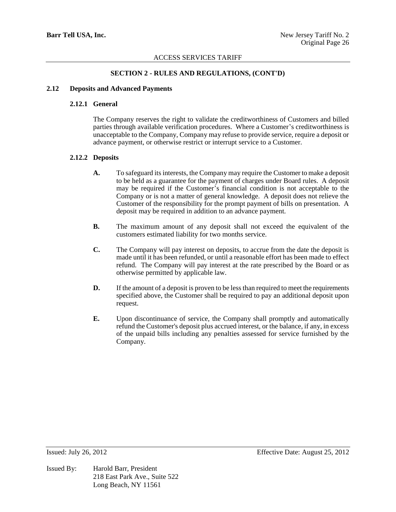## **SECTION 2 - RULES AND REGULATIONS, (CONT'D)**

## **2.12 Deposits and Advanced Payments**

### **2.12.1 General**

The Company reserves the right to validate the creditworthiness of Customers and billed parties through available verification procedures. Where a Customer's creditworthiness is unacceptable to the Company, Company may refuse to provide service, require a deposit or advance payment, or otherwise restrict or interrupt service to a Customer.

### **2.12.2 Deposits**

- **A.** To safeguard its interests, the Company may require the Customer to make a deposit to be held as a guarantee for the payment of charges under Board rules. A deposit may be required if the Customer's financial condition is not acceptable to the Company or is not a matter of general knowledge. A deposit does not relieve the Customer of the responsibility for the prompt payment of bills on presentation. A deposit may be required in addition to an advance payment.
- **B.** The maximum amount of any deposit shall not exceed the equivalent of the customers estimated liability for two months service.
- **C.** The Company will pay interest on deposits, to accrue from the date the deposit is made until it has been refunded, or until a reasonable effort has been made to effect refund. The Company will pay interest at the rate prescribed by the Board or as otherwise permitted by applicable law.
- **D.** If the amount of a deposit is proven to be less than required to meet the requirements specified above, the Customer shall be required to pay an additional deposit upon request.
- **E.** Upon discontinuance of service, the Company shall promptly and automatically refund the Customer's deposit plus accrued interest, or the balance, if any, in excess of the unpaid bills including any penalties assessed for service furnished by the Company.

Issued By: Harold Barr, President 218 East Park Ave., Suite 522 Long Beach, NY 11561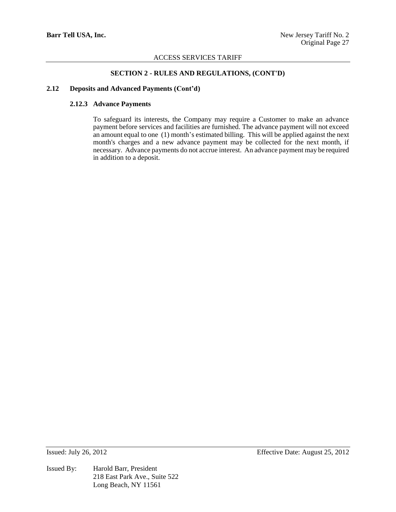## **SECTION 2 - RULES AND REGULATIONS, (CONT'D)**

### **2.12 Deposits and Advanced Payments (Cont'd)**

## **2.12.3 Advance Payments**

To safeguard its interests, the Company may require a Customer to make an advance payment before services and facilities are furnished. The advance payment will not exceed an amount equal to one (1) month's estimated billing. This will be applied against the next month's charges and a new advance payment may be collected for the next month, if necessary. Advance payments do not accrue interest. An advance payment may be required in addition to a deposit.

Issued By: Harold Barr, President 218 East Park Ave., Suite 522 Long Beach, NY 11561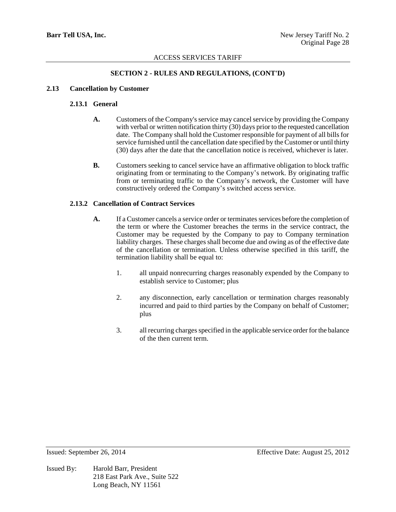# **SECTION 2 - RULES AND REGULATIONS, (CONT'D)**

## **2.13 Cancellation by Customer**

# **2.13.1 General**

- **A.** Customers of the Company's service may cancel service by providing the Company with verbal or written notification thirty (30) days prior to the requested cancellation date. The Company shall hold the Customer responsible for payment of all bills for service furnished until the cancellation date specified by the Customer or until thirty (30) days after the date that the cancellation notice is received, whichever is later.
- **B.** Customers seeking to cancel service have an affirmative obligation to block traffic originating from or terminating to the Company's network. By originating traffic from or terminating traffic to the Company's network, the Customer will have constructively ordered the Company's switched access service.

## **2.13.2 Cancellation of Contract Services**

- **A.** If a Customer cancels a service order or terminates services before the completion of the term or where the Customer breaches the terms in the service contract, the Customer may be requested by the Company to pay to Company termination liability charges. These charges shall become due and owing as of the effective date of the cancellation or termination. Unless otherwise specified in this tariff, the termination liability shall be equal to:
	- 1. all unpaid nonrecurring charges reasonably expended by the Company to establish service to Customer; plus
	- 2. any disconnection, early cancellation or termination charges reasonably incurred and paid to third parties by the Company on behalf of Customer; plus
	- 3. all recurring charges specified in the applicable service order for the balance of the then current term.

Issued By: Harold Barr, President 218 East Park Ave., Suite 522 Long Beach, NY 11561

Issued: September 26, 2014 Effective Date: August 25, 2012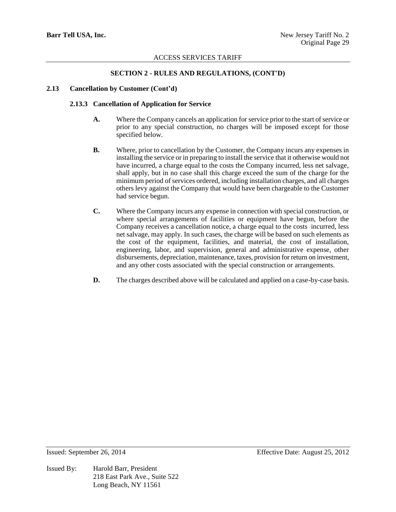## **SECTION 2 - RULES AND REGULATIONS, (CONT'D)**

# **2.13 Cancellation by Customer (Cont'd)**

## **2.13.3 Cancellation of Application for Service**

- **A.** Where the Company cancels an application for service prior to the start of service or prior to any special construction, no charges will be imposed except for those specified below.
- **B.** Where, prior to cancellation by the Customer, the Company incurs any expenses in installing the service or in preparing to install the service that it otherwise would not have incurred, a charge equal to the costs the Company incurred, less net salvage, shall apply, but in no case shall this charge exceed the sum of the charge for the minimum period of services ordered, including installation charges, and all charges others levy against the Company that would have been chargeable to the Customer had service begun.
- **C.** Where the Company incurs any expense in connection with special construction, or where special arrangements of facilities or equipment have begun, before the Company receives a cancellation notice, a charge equal to the costs incurred, less net salvage, may apply. In such cases, the charge will be based on such elements as the cost of the equipment, facilities, and material, the cost of installation, engineering, labor, and supervision, general and administrative expense, other disbursements, depreciation, maintenance, taxes, provision for return on investment, and any other costs associated with the special construction or arrangements.
- **D.** The charges described above will be calculated and applied on a case-by-case basis.

Issued By: Harold Barr, President 218 East Park Ave., Suite 522 Long Beach, NY 11561

Issued: September 26, 2014 Effective Date: August 25, 2012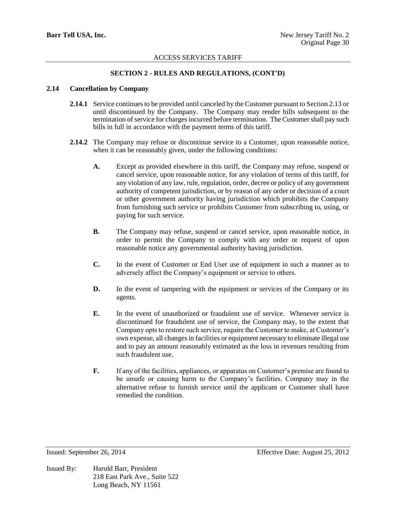# **SECTION 2 - RULES AND REGULATIONS, (CONT'D)**

## **2.14 Cancellation by Company**

- **2.14.1** Service continues to be provided until canceled by the Customer pursuant to Section 2.13 or until discontinued by the Company. The Company may render bills subsequent to the termination of service for charges incurred before termination. The Customer shall pay such bills in full in accordance with the payment terms of this tariff.
- **2.14.2** The Company may refuse or discontinue service to a Customer, upon reasonable notice, when it can be reasonably given, under the following conditions:
	- **A.** Except as provided elsewhere in this tariff, the Company may refuse, suspend or cancel service, upon reasonable notice, for any violation of terms of this tariff, for any violation of any law, rule, regulation, order, decree or policy of any government authority of competent jurisdiction, or by reason of any order or decision of a court or other government authority having jurisdiction which prohibits the Company from furnishing such service or prohibits Customer from subscribing to, using, or paying for such service.
	- **B.** The Company may refuse, suspend or cancel service, upon reasonable notice, in order to permit the Company to comply with any order or request of upon reasonable notice any governmental authority having jurisdiction.
	- **C.** In the event of Customer or End User use of equipment in such a manner as to adversely affect the Company's equipment or service to others.
	- **D.** In the event of tampering with the equipment or services of the Company or its agents.
	- **E.** In the event of unauthorized or fraudulent use of service. Whenever service is discontinued for fraudulent use of service, the Company may, to the extent that Company opts to restore such service, require the Customer to make, at Customer's own expense, all changes in facilities or equipment necessary to eliminate illegal use and to pay an amount reasonably estimated as the loss in revenues resulting from such fraudulent use.
	- **F.** If any of the facilities, appliances, or apparatus on Customer's premise are found to be unsafe or causing harm to the Company's facilities. Company may in the alternative refuse to furnish service until the applicant or Customer shall have remedied the condition.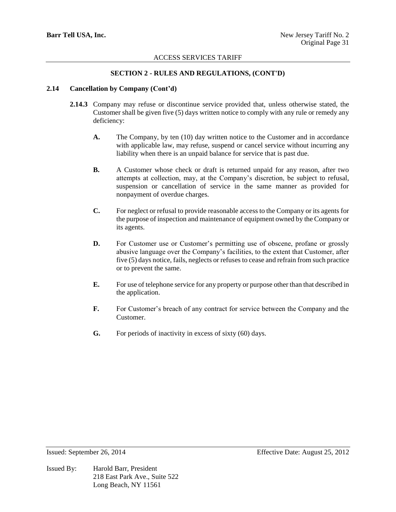# **SECTION 2 - RULES AND REGULATIONS, (CONT'D)**

# **2.14 Cancellation by Company (Cont'd)**

- **2.14.3** Company may refuse or discontinue service provided that, unless otherwise stated, the Customer shall be given five (5) days written notice to comply with any rule or remedy any deficiency:
	- **A.** The Company, by ten (10) day written notice to the Customer and in accordance with applicable law, may refuse, suspend or cancel service without incurring any liability when there is an unpaid balance for service that is past due.
	- **B.** A Customer whose check or draft is returned unpaid for any reason, after two attempts at collection, may, at the Company's discretion, be subject to refusal, suspension or cancellation of service in the same manner as provided for nonpayment of overdue charges.
	- **C.** For neglect or refusal to provide reasonable access to the Company or its agents for the purpose of inspection and maintenance of equipment owned by the Company or its agents.
	- **D.** For Customer use or Customer's permitting use of obscene, profane or grossly abusive language over the Company's facilities, to the extent that Customer, after five (5) days notice, fails, neglects or refuses to cease and refrain from such practice or to prevent the same.
	- **E.** For use of telephone service for any property or purpose other than that described in the application.
	- **F.** For Customer's breach of any contract for service between the Company and the Customer.
	- **G.** For periods of inactivity in excess of sixty (60) days.

Issued By: Harold Barr, President 218 East Park Ave., Suite 522 Long Beach, NY 11561

Issued: September 26, 2014 Effective Date: August 25, 2012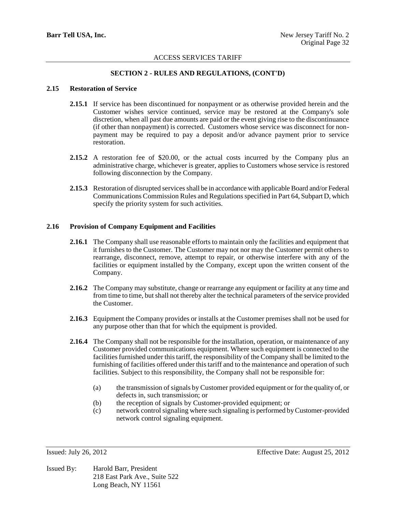## **SECTION 2 - RULES AND REGULATIONS, (CONT'D)**

#### **2.15 Restoration of Service**

- **2.15.1** If service has been discontinued for nonpayment or as otherwise provided herein and the Customer wishes service continued, service may be restored at the Company's sole discretion, when all past due amounts are paid or the event giving rise to the discontinuance (if other than nonpayment) is corrected. Customers whose service was disconnect for nonpayment may be required to pay a deposit and/or advance payment prior to service restoration.
- **2.15.2** A restoration fee of \$20.00, or the actual costs incurred by the Company plus an administrative charge, whichever is greater, applies to Customers whose service is restored following disconnection by the Company.
- **2.15.3** Restoration of disrupted services shall be in accordance with applicable Board and/or Federal Communications Commission Rules and Regulations specified in Part 64, Subpart D, which specify the priority system for such activities.

### **2.16 Provision of Company Equipment and Facilities**

- **2.16.1** The Company shall use reasonable efforts to maintain only the facilities and equipment that it furnishes to the Customer. The Customer may not nor may the Customer permit others to rearrange, disconnect, remove, attempt to repair, or otherwise interfere with any of the facilities or equipment installed by the Company, except upon the written consent of the Company.
- **2.16.2** The Company may substitute, change or rearrange any equipment or facility at any time and from time to time, but shall not thereby alter the technical parameters of the service provided the Customer.
- **2.16.3** Equipment the Company provides or installs at the Customer premises shall not be used for any purpose other than that for which the equipment is provided.
- **2.16.4** The Company shall not be responsible for the installation, operation, or maintenance of any Customer provided communications equipment. Where such equipment is connected to the facilities furnished under this tariff, the responsibility of the Company shall be limited to the furnishing of facilities offered under this tariff and to the maintenance and operation of such facilities. Subject to this responsibility, the Company shall not be responsible for:
	- (a) the transmission of signals by Customer provided equipment or for the quality of, or defects in, such transmission; or
	- (b) the reception of signals by Customer-provided equipment; or
	- (c) network control signaling where such signaling is performed by Customer-provided network control signaling equipment.

Issued By: Harold Barr, President 218 East Park Ave., Suite 522 Long Beach, NY 11561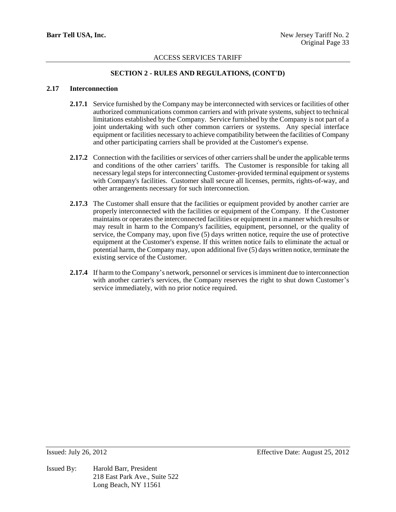# **SECTION 2 - RULES AND REGULATIONS, (CONT'D)**

## **2.17 Interconnection**

- **2.17.1** Service furnished by the Company may be interconnected with services or facilities of other authorized communications common carriers and with private systems, subject to technical limitations established by the Company. Service furnished by the Company is not part of a joint undertaking with such other common carriers or systems. Any special interface equipment or facilities necessary to achieve compatibility between the facilities of Company and other participating carriers shall be provided at the Customer's expense.
- **2.17.2** Connection with the facilities or services of other carriers shall be under the applicable terms and conditions of the other carriers' tariffs. The Customer is responsible for taking all necessary legal steps for interconnecting Customer-provided terminal equipment or systems with Company's facilities. Customer shall secure all licenses, permits, rights-of-way, and other arrangements necessary for such interconnection.
- **2.17.3** The Customer shall ensure that the facilities or equipment provided by another carrier are properly interconnected with the facilities or equipment of the Company. If the Customer maintains or operates the interconnected facilities or equipment in a manner which results or may result in harm to the Company's facilities, equipment, personnel, or the quality of service, the Company may, upon five (5) days written notice, require the use of protective equipment at the Customer's expense. If this written notice fails to eliminate the actual or potential harm, the Company may, upon additional five (5) days written notice, terminate the existing service of the Customer.
- **2.17.4** If harm to the Company's network, personnel or services is imminent due to interconnection with another carrier's services, the Company reserves the right to shut down Customer's service immediately, with no prior notice required.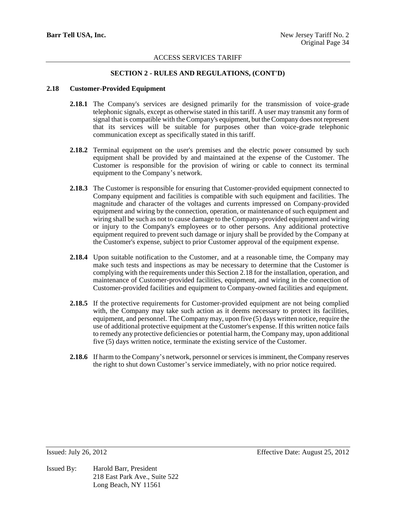# **SECTION 2 - RULES AND REGULATIONS, (CONT'D)**

### **2.18 Customer-Provided Equipment**

- **2.18.1** The Company's services are designed primarily for the transmission of voice-grade telephonic signals, except as otherwise stated in this tariff. A user may transmit any form of signal that is compatible with the Company's equipment, but the Company does not represent that its services will be suitable for purposes other than voice-grade telephonic communication except as specifically stated in this tariff.
- **2.18.2** Terminal equipment on the user's premises and the electric power consumed by such equipment shall be provided by and maintained at the expense of the Customer. The Customer is responsible for the provision of wiring or cable to connect its terminal equipment to the Company's network.
- **2.18.3** The Customer is responsible for ensuring that Customer-provided equipment connected to Company equipment and facilities is compatible with such equipment and facilities. The magnitude and character of the voltages and currents impressed on Company-provided equipment and wiring by the connection, operation, or maintenance of such equipment and wiring shall be such as not to cause damage to the Company-provided equipment and wiring or injury to the Company's employees or to other persons. Any additional protective equipment required to prevent such damage or injury shall be provided by the Company at the Customer's expense, subject to prior Customer approval of the equipment expense.
- **2.18.4** Upon suitable notification to the Customer, and at a reasonable time, the Company may make such tests and inspections as may be necessary to determine that the Customer is complying with the requirements under this Section 2.18 for the installation, operation, and maintenance of Customer-provided facilities, equipment, and wiring in the connection of Customer-provided facilities and equipment to Company-owned facilities and equipment.
- **2.18.5** If the protective requirements for Customer-provided equipment are not being complied with, the Company may take such action as it deems necessary to protect its facilities, equipment, and personnel. The Company may, upon five (5) days written notice, require the use of additional protective equipment at the Customer's expense. If this written notice fails to remedy any protective deficiencies or potential harm, the Company may, upon additional five (5) days written notice, terminate the existing service of the Customer.
- **2.18.6** If harm to the Company's network, personnel or services is imminent, the Company reserves the right to shut down Customer's service immediately, with no prior notice required.

Issued By: Harold Barr, President 218 East Park Ave., Suite 522 Long Beach, NY 11561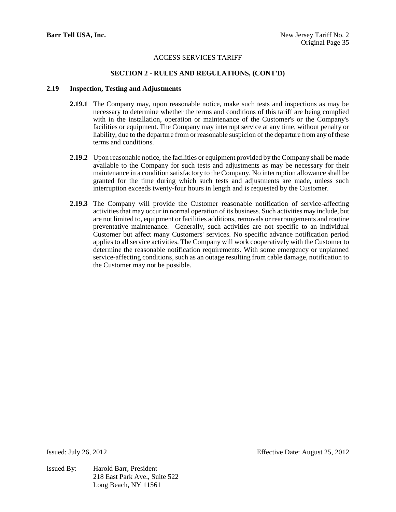## **SECTION 2 - RULES AND REGULATIONS, (CONT'D)**

### **2.19 Inspection, Testing and Adjustments**

- **2.19.1** The Company may, upon reasonable notice, make such tests and inspections as may be necessary to determine whether the terms and conditions of this tariff are being complied with in the installation, operation or maintenance of the Customer's or the Company's facilities or equipment. The Company may interrupt service at any time, without penalty or liability, due to the departure from or reasonable suspicion of the departure from any of these terms and conditions.
- **2.19.2** Upon reasonable notice, the facilities or equipment provided by the Company shall be made available to the Company for such tests and adjustments as may be necessary for their maintenance in a condition satisfactory to the Company. No interruption allowance shall be granted for the time during which such tests and adjustments are made, unless such interruption exceeds twenty-four hours in length and is requested by the Customer.
- **2.19.3** The Company will provide the Customer reasonable notification of service-affecting activities that may occur in normal operation of its business. Such activities may include, but are not limited to, equipment or facilities additions, removals or rearrangements and routine preventative maintenance. Generally, such activities are not specific to an individual Customer but affect many Customers' services. No specific advance notification period applies to all service activities. The Company will work cooperatively with the Customer to determine the reasonable notification requirements. With some emergency or unplanned service-affecting conditions, such as an outage resulting from cable damage, notification to the Customer may not be possible.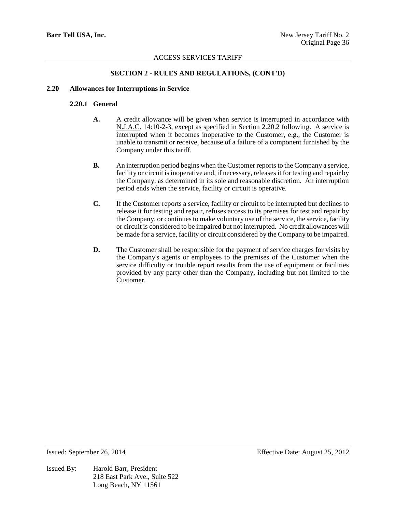## **SECTION 2 - RULES AND REGULATIONS, (CONT'D)**

## **2.20 Allowances for Interruptions in Service**

# **2.20.1 General**

- **A.** A credit allowance will be given when service is interrupted in accordance with N.J.A.C. 14:10-2-3, except as specified in Section 2.20.2 following. A service is interrupted when it becomes inoperative to the Customer, e.g., the Customer is unable to transmit or receive, because of a failure of a component furnished by the Company under this tariff.
- **B.** An interruption period begins when the Customer reports to the Company a service, facility or circuit is inoperative and, if necessary, releases it for testing and repair by the Company, as determined in its sole and reasonable discretion. An interruption period ends when the service, facility or circuit is operative.
- **C.** If the Customer reports a service, facility or circuit to be interrupted but declines to release it for testing and repair, refuses access to its premises for test and repair by the Company, or continues to make voluntary use of the service, the service, facility or circuit is considered to be impaired but not interrupted. No credit allowances will be made for a service, facility or circuit considered by the Company to be impaired.
- **D.** The Customer shall be responsible for the payment of service charges for visits by the Company's agents or employees to the premises of the Customer when the service difficulty or trouble report results from the use of equipment or facilities provided by any party other than the Company, including but not limited to the Customer.

Issued By: Harold Barr, President 218 East Park Ave., Suite 522 Long Beach, NY 11561

Issued: September 26, 2014 Effective Date: August 25, 2012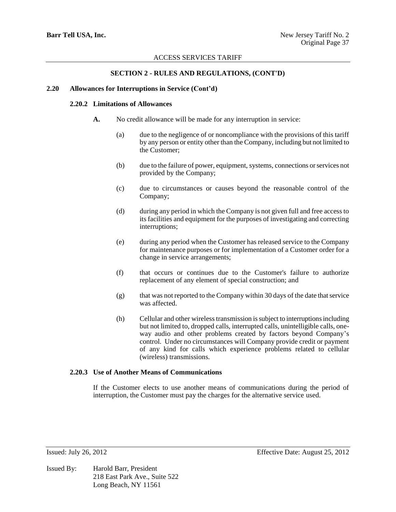## **SECTION 2 - RULES AND REGULATIONS, (CONT'D)**

#### **2.20 Allowances for Interruptions in Service (Cont'd)**

## **2.20.2 Limitations of Allowances**

- **A.** No credit allowance will be made for any interruption in service:
	- (a) due to the negligence of or noncompliance with the provisions of this tariff by any person or entity other than the Company, including but not limited to the Customer;
	- (b) due to the failure of power, equipment, systems, connections or services not provided by the Company;
	- (c) due to circumstances or causes beyond the reasonable control of the Company;
	- (d) during any period in which the Company is not given full and free access to its facilities and equipment for the purposes of investigating and correcting interruptions;
	- (e) during any period when the Customer has released service to the Company for maintenance purposes or for implementation of a Customer order for a change in service arrangements;
	- (f) that occurs or continues due to the Customer's failure to authorize replacement of any element of special construction; and
	- (g) that was not reported to the Company within 30 days of the date that service was affected.
	- (h) Cellular and other wireless transmission is subject to interruptions including but not limited to, dropped calls, interrupted calls, unintelligible calls, oneway audio and other problems created by factors beyond Company's control. Under no circumstances will Company provide credit or payment of any kind for calls which experience problems related to cellular (wireless) transmissions.

#### **2.20.3 Use of Another Means of Communications**

If the Customer elects to use another means of communications during the period of interruption, the Customer must pay the charges for the alternative service used.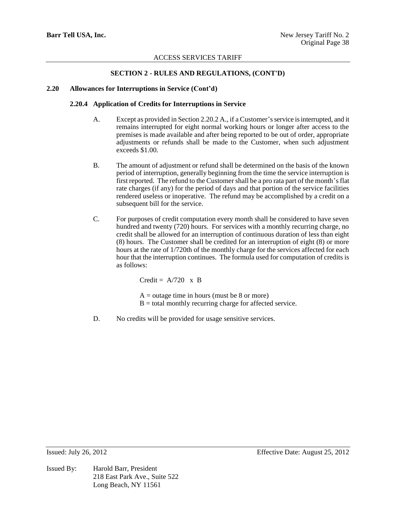## **SECTION 2 - RULES AND REGULATIONS, (CONT'D)**

## **2.20 Allowances for Interruptions in Service (Cont'd)**

### **2.20.4 Application of Credits for Interruptions in Service**

- A. Except as provided in Section 2.20.2 A., if a Customer's service is interrupted, and it remains interrupted for eight normal working hours or longer after access to the premises is made available and after being reported to be out of order, appropriate adjustments or refunds shall be made to the Customer, when such adjustment exceeds \$1.00.
- B. The amount of adjustment or refund shall be determined on the basis of the known period of interruption, generally beginning from the time the service interruption is first reported. The refund to the Customer shall be a pro rata part of the month's flat rate charges (if any) for the period of days and that portion of the service facilities rendered useless or inoperative. The refund may be accomplished by a credit on a subsequent bill for the service.
- C. For purposes of credit computation every month shall be considered to have seven hundred and twenty (720) hours. For services with a monthly recurring charge, no credit shall be allowed for an interruption of continuous duration of less than eight (8) hours. The Customer shall be credited for an interruption of eight (8) or more hours at the rate of 1/720th of the monthly charge for the services affected for each hour that the interruption continues. The formula used for computation of credits is as follows:

Credit =  $A/720 \times B$ 

 $A =$  outage time in hours (must be 8 or more)  $B =$  total monthly recurring charge for affected service.

D. No credits will be provided for usage sensitive services.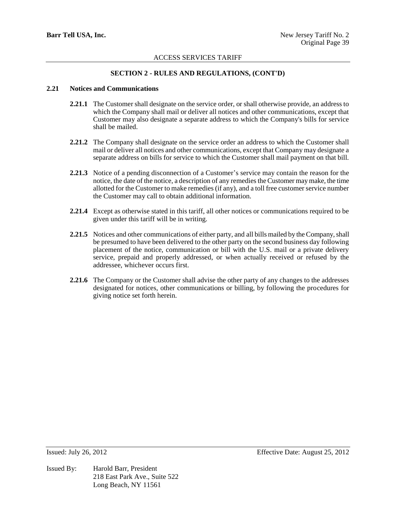# **SECTION 2 - RULES AND REGULATIONS, (CONT'D)**

### **2.21 Notices and Communications**

- **2.21.1** The Customer shall designate on the service order, or shall otherwise provide, an address to which the Company shall mail or deliver all notices and other communications, except that Customer may also designate a separate address to which the Company's bills for service shall be mailed.
- **2.21.2** The Company shall designate on the service order an address to which the Customer shall mail or deliver all notices and other communications, except that Company may designate a separate address on bills for service to which the Customer shall mail payment on that bill.
- **2.21.3** Notice of a pending disconnection of a Customer's service may contain the reason for the notice, the date of the notice, a description of any remedies the Customer may make, the time allotted for the Customer to make remedies (if any), and a toll free customer service number the Customer may call to obtain additional information.
- **2.21.4** Except as otherwise stated in this tariff, all other notices or communications required to be given under this tariff will be in writing.
- **2.21.5** Notices and other communications of either party, and all bills mailed by the Company, shall be presumed to have been delivered to the other party on the second business day following placement of the notice, communication or bill with the U.S. mail or a private delivery service, prepaid and properly addressed, or when actually received or refused by the addressee, whichever occurs first.
- **2.21.6** The Company or the Customer shall advise the other party of any changes to the addresses designated for notices, other communications or billing, by following the procedures for giving notice set forth herein.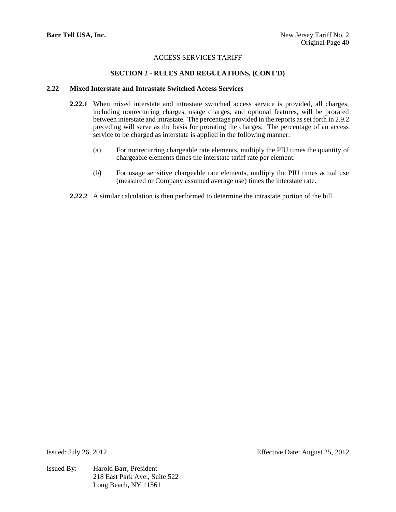## **SECTION 2 - RULES AND REGULATIONS, (CONT'D)**

### **2.22 Mixed Interstate and Intrastate Switched Access Services**

- **2.22.1** When mixed interstate and intrastate switched access service is provided, all charges, including nonrecurring charges, usage charges, and optional features, will be prorated between interstate and intrastate. The percentage provided in the reports as set forth in 2.9.2 preceding will serve as the basis for prorating the charges. The percentage of an access service to be charged as interstate is applied in the following manner:
	- (a) For nonrecurring chargeable rate elements, multiply the PIU times the quantity of chargeable elements times the interstate tariff rate per element.
	- (b) For usage sensitive chargeable rate elements, multiply the PIU times actual use (measured or Company assumed average use) times the interstate rate.
- **2.22.2** A similar calculation is then performed to determine the intrastate portion of the bill.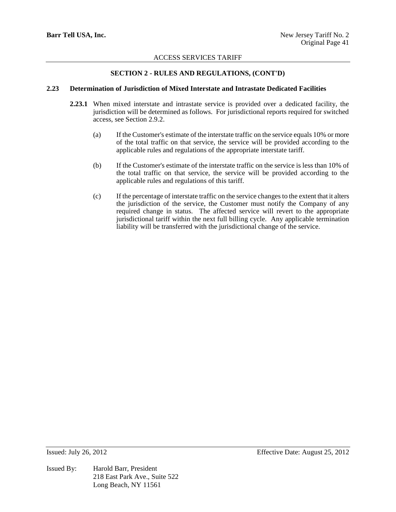## **SECTION 2 - RULES AND REGULATIONS, (CONT'D)**

### **2.23 Determination of Jurisdiction of Mixed Interstate and Intrastate Dedicated Facilities**

- **2.23.1** When mixed interstate and intrastate service is provided over a dedicated facility, the jurisdiction will be determined as follows. For jurisdictional reports required for switched access, see Section 2.9.2.
	- (a) If the Customer's estimate of the interstate traffic on the service equals 10% or more of the total traffic on that service, the service will be provided according to the applicable rules and regulations of the appropriate interstate tariff.
	- (b) If the Customer's estimate of the interstate traffic on the service is less than 10% of the total traffic on that service, the service will be provided according to the applicable rules and regulations of this tariff.
	- (c) If the percentage of interstate traffic on the service changes to the extent that it alters the jurisdiction of the service, the Customer must notify the Company of any required change in status. The affected service will revert to the appropriate jurisdictional tariff within the next full billing cycle. Any applicable termination liability will be transferred with the jurisdictional change of the service.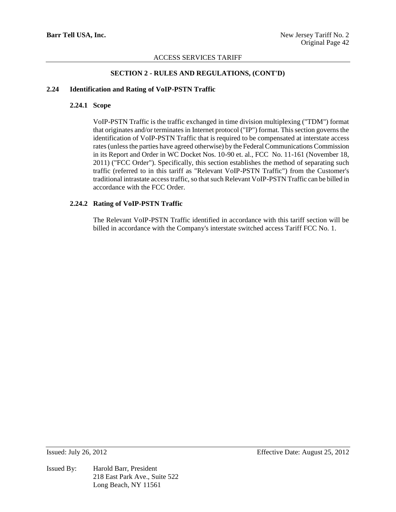## **SECTION 2 - RULES AND REGULATIONS, (CONT'D)**

#### **2.24 Identification and Rating of VoIP-PSTN Traffic**

#### **2.24.1 Scope**

VoIP-PSTN Traffic is the traffic exchanged in time division multiplexing ("TDM") format that originates and/or terminates in Internet protocol ("IP") format. This section governs the identification of VoIP-PSTN Traffic that is required to be compensated at interstate access rates (unless the parties have agreed otherwise) by the Federal Communications Commission in its Report and Order in WC Docket Nos. 10-90 et. al., FCC No. 11-161 (November 18, 2011) ("FCC Order"). Specifically, this section establishes the method of separating such traffic (referred to in this tariff as "Relevant VoIP-PSTN Traffic") from the Customer's traditional intrastate access traffic, so that such Relevant VoIP-PSTN Traffic can be billed in accordance with the FCC Order.

### **2.24.2 Rating of VoIP-PSTN Traffic**

The Relevant VoIP-PSTN Traffic identified in accordance with this tariff section will be billed in accordance with the Company's interstate switched access Tariff FCC No. 1.

Issued By: Harold Barr, President 218 East Park Ave., Suite 522 Long Beach, NY 11561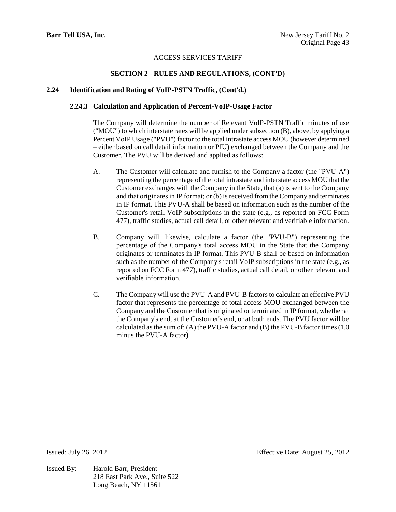## **SECTION 2 - RULES AND REGULATIONS, (CONT'D)**

### **2.24 Identification and Rating of VoIP-PSTN Traffic, (Cont'd.)**

### **2.24.3 Calculation and Application of Percent-VoIP-Usage Factor**

The Company will determine the number of Relevant VoIP-PSTN Traffic minutes of use ("MOU") to which interstate rates will be applied under subsection (B), above, by applying a Percent VoIP Usage ("PVU") factor to the total intrastate access MOU (however determined – either based on call detail information or PIU) exchanged between the Company and the Customer. The PVU will be derived and applied as follows:

- A. The Customer will calculate and furnish to the Company a factor (the "PVU-A") representing the percentage of the total intrastate and interstate access MOU that the Customer exchanges with the Company in the State, that (a) is sent to the Company and that originates in IP format; or (b) is received from the Company and terminates in IP format. This PVU-A shall be based on information such as the number of the Customer's retail VoIP subscriptions in the state (e.g., as reported on FCC Form 477), traffic studies, actual call detail, or other relevant and verifiable information.
- B. Company will, likewise, calculate a factor (the "PVU-B") representing the percentage of the Company's total access MOU in the State that the Company originates or terminates in IP format. This PVU-B shall be based on information such as the number of the Company's retail VoIP subscriptions in the state (e.g., as reported on FCC Form 477), traffic studies, actual call detail, or other relevant and verifiable information.
- C. The Company will use the PVU-A and PVU-B factors to calculate an effective PVU factor that represents the percentage of total access MOU exchanged between the Company and the Customer that is originated or terminated in IP format, whether at the Company's end, at the Customer's end, or at both ends. The PVU factor will be calculated as the sum of: (A) the PVU-A factor and (B) the PVU-B factor times (1.0 minus the PVU-A factor).

Issued By: Harold Barr, President 218 East Park Ave., Suite 522 Long Beach, NY 11561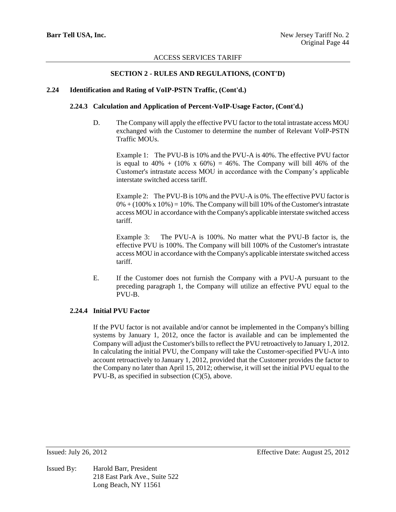## **SECTION 2 - RULES AND REGULATIONS, (CONT'D)**

### **2.24 Identification and Rating of VoIP-PSTN Traffic, (Cont'd.)**

### **2.24.3 Calculation and Application of Percent-VoIP-Usage Factor, (Cont'd.)**

D. The Company will apply the effective PVU factor to the total intrastate access MOU exchanged with the Customer to determine the number of Relevant VoIP-PSTN Traffic MOUs.

Example 1: The PVU-B is 10% and the PVU-A is 40%. The effective PVU factor is equal to  $40\% + (10\% \times 60\%) = 46\%$ . The Company will bill 46% of the Customer's intrastate access MOU in accordance with the Company's applicable interstate switched access tariff.

Example 2: The PVU-B is 10% and the PVU-A is 0%. The effective PVU factor is  $0\% + (100\% \times 10\%) = 10\%$ . The Company will bill 10% of the Customer's intrastate access MOU in accordance with the Company's applicable interstate switched access tariff.

Example 3: The PVU-A is 100%. No matter what the PVU-B factor is, the effective PVU is 100%. The Company will bill 100% of the Customer's intrastate access MOU in accordance with the Company's applicable interstate switched access tariff.

E. If the Customer does not furnish the Company with a PVU-A pursuant to the preceding paragraph 1, the Company will utilize an effective PVU equal to the PVU-B.

## **2.24.4 Initial PVU Factor**

If the PVU factor is not available and/or cannot be implemented in the Company's billing systems by January 1, 2012, once the factor is available and can be implemented the Company will adjust the Customer's bills to reflect the PVU retroactively to January 1, 2012. In calculating the initial PVU, the Company will take the Customer-specified PVU-A into account retroactively to January 1, 2012, provided that the Customer provides the factor to the Company no later than April 15, 2012; otherwise, it will set the initial PVU equal to the PVU-B, as specified in subsection  $(C)(5)$ , above.

Issued By: Harold Barr, President 218 East Park Ave., Suite 522 Long Beach, NY 11561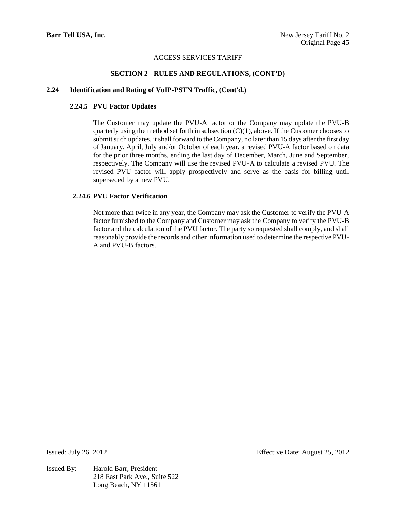### **SECTION 2 - RULES AND REGULATIONS, (CONT'D)**

#### **2.24 Identification and Rating of VoIP-PSTN Traffic, (Cont'd.)**

## **2.24.5 PVU Factor Updates**

The Customer may update the PVU-A factor or the Company may update the PVU-B quarterly using the method set forth in subsection  $(C)(1)$ , above. If the Customer chooses to submit such updates, it shall forward to the Company, no later than 15 days after the first day of January, April, July and/or October of each year, a revised PVU-A factor based on data for the prior three months, ending the last day of December, March, June and September, respectively. The Company will use the revised PVU-A to calculate a revised PVU. The revised PVU factor will apply prospectively and serve as the basis for billing until superseded by a new PVU.

### **2.24.6 PVU Factor Verification**

Not more than twice in any year, the Company may ask the Customer to verify the PVU-A factor furnished to the Company and Customer may ask the Company to verify the PVU-B factor and the calculation of the PVU factor. The party so requested shall comply, and shall reasonably provide the records and other information used to determine the respective PVU-A and PVU-B factors.

Issued By: Harold Barr, President 218 East Park Ave., Suite 522 Long Beach, NY 11561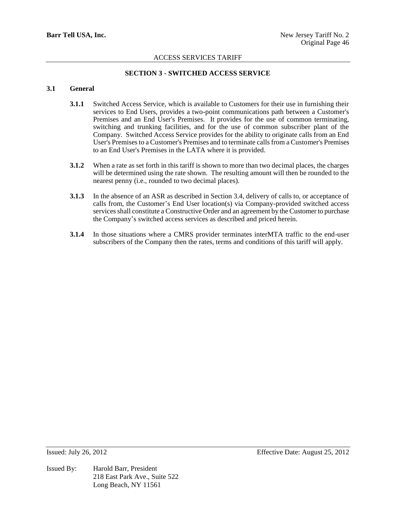# **SECTION 3 - SWITCHED ACCESS SERVICE**

## **3.1 General**

- **3.1.1** Switched Access Service, which is available to Customers for their use in furnishing their services to End Users, provides a two-point communications path between a Customer's Premises and an End User's Premises. It provides for the use of common terminating, switching and trunking facilities, and for the use of common subscriber plant of the Company. Switched Access Service provides for the ability to originate calls from an End User's Premises to a Customer's Premises and to terminate calls from a Customer's Premises to an End User's Premises in the LATA where it is provided.
- **3.1.2** When a rate as set forth in this tariff is shown to more than two decimal places, the charges will be determined using the rate shown. The resulting amount will then be rounded to the nearest penny (i.e., rounded to two decimal places).
- **3.1.3** In the absence of an ASR as described in Section 3.4, delivery of calls to, or acceptance of calls from, the Customer's End User location(s) via Company-provided switched access services shall constitute a Constructive Order and an agreement by the Customer to purchase the Company's switched access services as described and priced herein.
- **3.1.4** In those situations where a CMRS provider terminates interMTA traffic to the end-user subscribers of the Company then the rates, terms and conditions of this tariff will apply.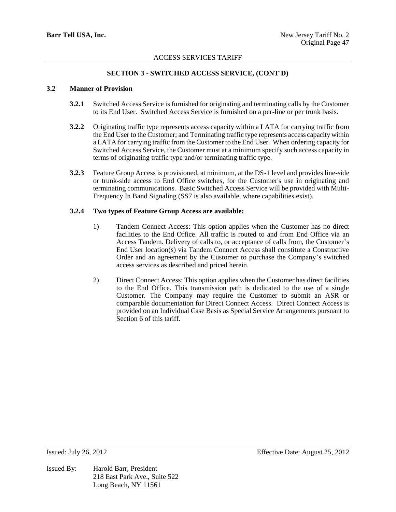## **SECTION 3 - SWITCHED ACCESS SERVICE, (CONT'D)**

## **3.2 Manner of Provision**

- **3.2.1** Switched Access Service is furnished for originating and terminating calls by the Customer to its End User. Switched Access Service is furnished on a per-line or per trunk basis.
- **3.2.2** Originating traffic type represents access capacity within a LATA for carrying traffic from the End User to the Customer; and Terminating traffic type represents access capacity within a LATA for carrying traffic from the Customer to the End User. When ordering capacity for Switched Access Service, the Customer must at a minimum specify such access capacity in terms of originating traffic type and/or terminating traffic type.
- **3.2.3** Feature Group Access is provisioned, at minimum, at the DS-1 level and provides line-side or trunk-side access to End Office switches, for the Customer's use in originating and terminating communications. Basic Switched Access Service will be provided with Multi-Frequency In Band Signaling (SS7 is also available, where capabilities exist).

## **3.2.4 Two types of Feature Group Access are available:**

- 1) Tandem Connect Access: This option applies when the Customer has no direct facilities to the End Office. All traffic is routed to and from End Office via an Access Tandem. Delivery of calls to, or acceptance of calls from, the Customer's End User location(s) via Tandem Connect Access shall constitute a Constructive Order and an agreement by the Customer to purchase the Company's switched access services as described and priced herein.
- 2) Direct Connect Access: This option applies when the Customer has direct facilities to the End Office. This transmission path is dedicated to the use of a single Customer. The Company may require the Customer to submit an ASR or comparable documentation for Direct Connect Access. Direct Connect Access is provided on an Individual Case Basis as Special Service Arrangements pursuant to Section 6 of this tariff.

Issued By: Harold Barr, President 218 East Park Ave., Suite 522 Long Beach, NY 11561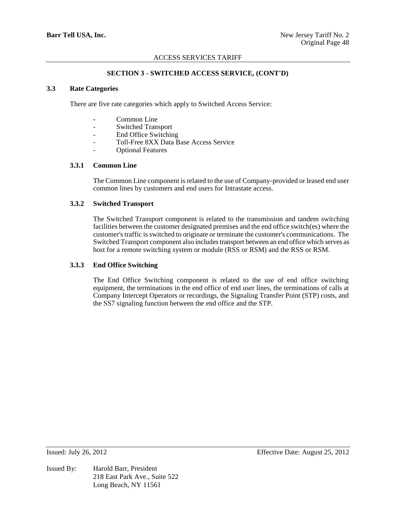## **SECTION 3 - SWITCHED ACCESS SERVICE, (CONT'D)**

## **3.3 Rate Categories**

There are five rate categories which apply to Switched Access Service:

- Common Line
- Switched Transport
- End Office Switching
- Toll-Free 8XX Data Base Access Service
- Optional Features

#### **3.3.1 Common Line**

The Common Line component is related to the use of Company-provided or leased end user common lines by customers and end users for Intrastate access.

#### **3.3.2 Switched Transport**

The Switched Transport component is related to the transmission and tandem switching facilities between the customer designated premises and the end office switch(es) where the customer's traffic is switched to originate or terminate the customer's communications. The Switched Transport component also includes transport between an end office which serves as host for a remote switching system or module (RSS or RSM) and the RSS or RSM.

#### **3.3.3 End Office Switching**

The End Office Switching component is related to the use of end office switching equipment, the terminations in the end office of end user lines, the terminations of calls at Company Intercept Operators or recordings, the Signaling Transfer Point (STP) costs, and the SS7 signaling function between the end office and the STP.

Issued By: Harold Barr, President 218 East Park Ave., Suite 522 Long Beach, NY 11561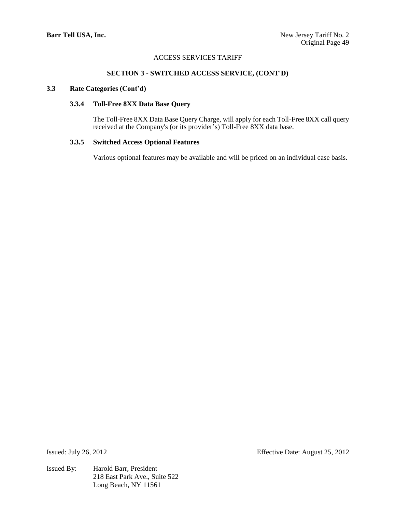## **SECTION 3 - SWITCHED ACCESS SERVICE, (CONT'D)**

### **3.3 Rate Categories (Cont'd)**

#### **3.3.4 Toll-Free 8XX Data Base Query**

The Toll-Free 8XX Data Base Query Charge, will apply for each Toll-Free 8XX call query received at the Company's (or its provider's) Toll-Free 8XX data base.

## **3.3.5 Switched Access Optional Features**

Various optional features may be available and will be priced on an individual case basis.

Issued By: Harold Barr, President 218 East Park Ave., Suite 522 Long Beach, NY 11561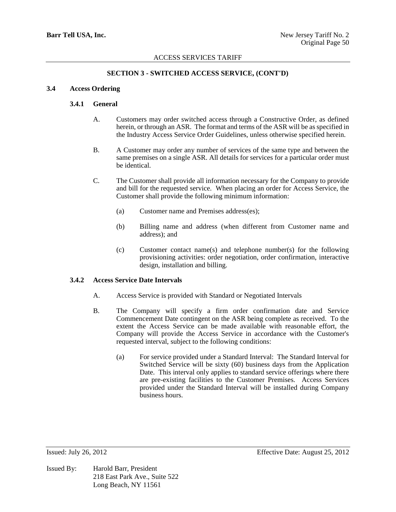## **SECTION 3 - SWITCHED ACCESS SERVICE, (CONT'D)**

## **3.4 Access Ordering**

### **3.4.1 General**

- A. Customers may order switched access through a Constructive Order, as defined herein, or through an ASR. The format and terms of the ASR will be as specified in the Industry Access Service Order Guidelines, unless otherwise specified herein.
- B. A Customer may order any number of services of the same type and between the same premises on a single ASR. All details for services for a particular order must be identical.
- C. The Customer shall provide all information necessary for the Company to provide and bill for the requested service. When placing an order for Access Service, the Customer shall provide the following minimum information:
	- (a) Customer name and Premises address(es);
	- (b) Billing name and address (when different from Customer name and address); and
	- (c) Customer contact name(s) and telephone number(s) for the following provisioning activities: order negotiation, order confirmation, interactive design, installation and billing.

#### **3.4.2 Access Service Date Intervals**

- A. Access Service is provided with Standard or Negotiated Intervals
- B. The Company will specify a firm order confirmation date and Service Commencement Date contingent on the ASR being complete as received. To the extent the Access Service can be made available with reasonable effort, the Company will provide the Access Service in accordance with the Customer's requested interval, subject to the following conditions:
	- (a) For service provided under a Standard Interval: The Standard Interval for Switched Service will be sixty (60) business days from the Application Date. This interval only applies to standard service offerings where there are pre-existing facilities to the Customer Premises. Access Services provided under the Standard Interval will be installed during Company business hours.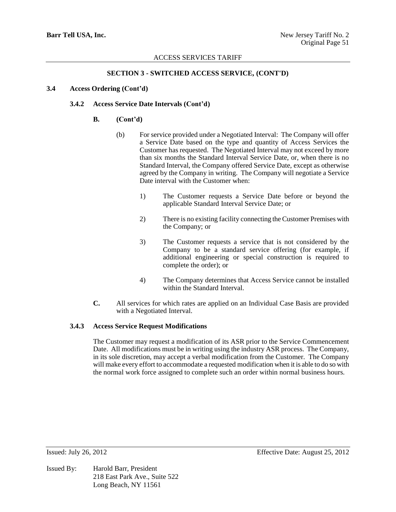## **SECTION 3 - SWITCHED ACCESS SERVICE, (CONT'D)**

## **3.4 Access Ordering (Cont'd)**

## **3.4.2 Access Service Date Intervals (Cont'd)**

### **B. (Cont'd)**

- (b) For service provided under a Negotiated Interval: The Company will offer a Service Date based on the type and quantity of Access Services the Customer has requested. The Negotiated Interval may not exceed by more than six months the Standard Interval Service Date, or, when there is no Standard Interval, the Company offered Service Date, except as otherwise agreed by the Company in writing. The Company will negotiate a Service Date interval with the Customer when:
	- 1) The Customer requests a Service Date before or beyond the applicable Standard Interval Service Date; or
	- 2) There is no existing facility connecting the Customer Premises with the Company; or
	- 3) The Customer requests a service that is not considered by the Company to be a standard service offering (for example, if additional engineering or special construction is required to complete the order); or
	- 4) The Company determines that Access Service cannot be installed within the Standard Interval.
- **C.** All services for which rates are applied on an Individual Case Basis are provided with a Negotiated Interval.

#### **3.4.3 Access Service Request Modifications**

The Customer may request a modification of its ASR prior to the Service Commencement Date. All modifications must be in writing using the industry ASR process. The Company, in its sole discretion, may accept a verbal modification from the Customer. The Company will make every effort to accommodate a requested modification when it is able to do so with the normal work force assigned to complete such an order within normal business hours.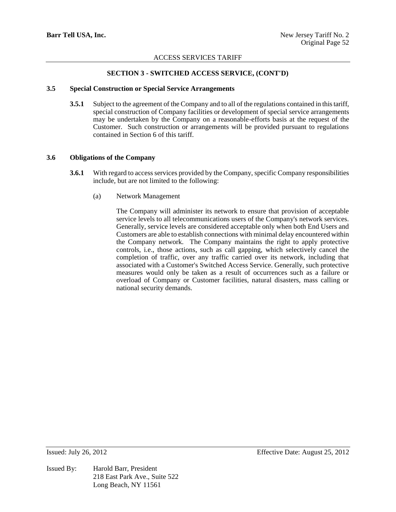## **SECTION 3 - SWITCHED ACCESS SERVICE, (CONT'D)**

#### **3.5 Special Construction or Special Service Arrangements**

**3.5.1** Subject to the agreement of the Company and to all of the regulations contained in this tariff, special construction of Company facilities or development of special service arrangements may be undertaken by the Company on a reasonable-efforts basis at the request of the Customer. Such construction or arrangements will be provided pursuant to regulations contained in Section 6 of this tariff.

## **3.6 Obligations of the Company**

- **3.6.1** With regard to access services provided by the Company, specific Company responsibilities include, but are not limited to the following:
	- (a) Network Management

The Company will administer its network to ensure that provision of acceptable service levels to all telecommunications users of the Company's network services. Generally, service levels are considered acceptable only when both End Users and Customers are able to establish connections with minimal delay encountered within the Company network. The Company maintains the right to apply protective controls, i.e., those actions, such as call gapping, which selectively cancel the completion of traffic, over any traffic carried over its network, including that associated with a Customer's Switched Access Service. Generally, such protective measures would only be taken as a result of occurrences such as a failure or overload of Company or Customer facilities, natural disasters, mass calling or national security demands.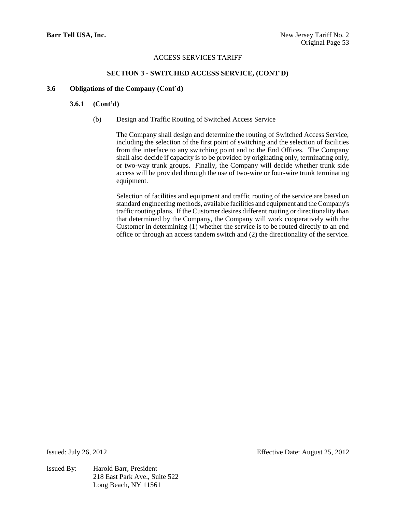## **SECTION 3 - SWITCHED ACCESS SERVICE, (CONT'D)**

### **3.6 Obligations of the Company (Cont'd)**

#### **3.6.1 (Cont'd)**

(b) Design and Traffic Routing of Switched Access Service

The Company shall design and determine the routing of Switched Access Service, including the selection of the first point of switching and the selection of facilities from the interface to any switching point and to the End Offices. The Company shall also decide if capacity is to be provided by originating only, terminating only, or two-way trunk groups. Finally, the Company will decide whether trunk side access will be provided through the use of two-wire or four-wire trunk terminating equipment.

Selection of facilities and equipment and traffic routing of the service are based on standard engineering methods, available facilities and equipment and the Company's traffic routing plans. If the Customer desires different routing or directionality than that determined by the Company, the Company will work cooperatively with the Customer in determining (1) whether the service is to be routed directly to an end office or through an access tandem switch and (2) the directionality of the service.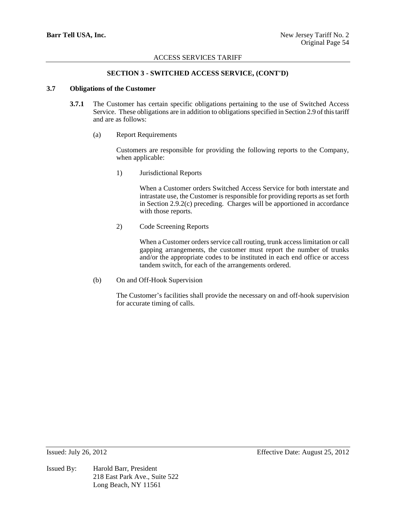## **SECTION 3 - SWITCHED ACCESS SERVICE, (CONT'D)**

## **3.7 Obligations of the Customer**

- **3.7.1** The Customer has certain specific obligations pertaining to the use of Switched Access Service. These obligations are in addition to obligations specified in Section 2.9 of this tariff and are as follows:
	- (a) Report Requirements

Customers are responsible for providing the following reports to the Company, when applicable:

1) Jurisdictional Reports

When a Customer orders Switched Access Service for both interstate and intrastate use, the Customer is responsible for providing reports as set forth in Section 2.9.2(c) preceding. Charges will be apportioned in accordance with those reports.

2) Code Screening Reports

When a Customer orders service call routing, trunk access limitation or call gapping arrangements, the customer must report the number of trunks and/or the appropriate codes to be instituted in each end office or access tandem switch, for each of the arrangements ordered.

(b) On and Off-Hook Supervision

The Customer's facilities shall provide the necessary on and off-hook supervision for accurate timing of calls.

Issued By: Harold Barr, President 218 East Park Ave., Suite 522 Long Beach, NY 11561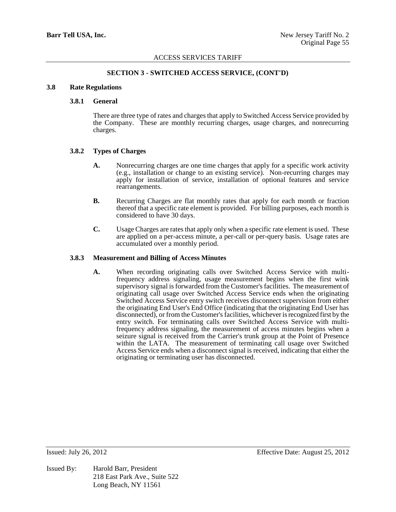## **SECTION 3 - SWITCHED ACCESS SERVICE, (CONT'D)**

#### **3.8 Rate Regulations**

### **3.8.1 General**

There are three type of rates and charges that apply to Switched Access Service provided by the Company. These are monthly recurring charges, usage charges, and nonrecurring charges.

#### **3.8.2 Types of Charges**

- **A.** Nonrecurring charges are one time charges that apply for a specific work activity (e.g., installation or change to an existing service). Non-recurring charges may apply for installation of service, installation of optional features and service rearrangements.
- **B.** Recurring Charges are flat monthly rates that apply for each month or fraction thereof that a specific rate element is provided. For billing purposes, each month is considered to have 30 days.
- **C.** Usage Charges are rates that apply only when a specific rate element is used. These are applied on a per-access minute, a per-call or per-query basis. Usage rates are accumulated over a monthly period.

#### **3.8.3 Measurement and Billing of Access Minutes**

**A.** When recording originating calls over Switched Access Service with multifrequency address signaling, usage measurement begins when the first wink supervisory signal is forwarded from the Customer's facilities. The measurement of originating call usage over Switched Access Service ends when the originating Switched Access Service entry switch receives disconnect supervision from either the originating End User's End Office (indicating that the originating End User has disconnected), or from the Customer's facilities, whichever is recognized first by the entry switch. For terminating calls over Switched Access Service with multifrequency address signaling, the measurement of access minutes begins when a seizure signal is received from the Carrier's trunk group at the Point of Presence within the LATA. The measurement of terminating call usage over Switched Access Service ends when a disconnect signal is received, indicating that either the originating or terminating user has disconnected.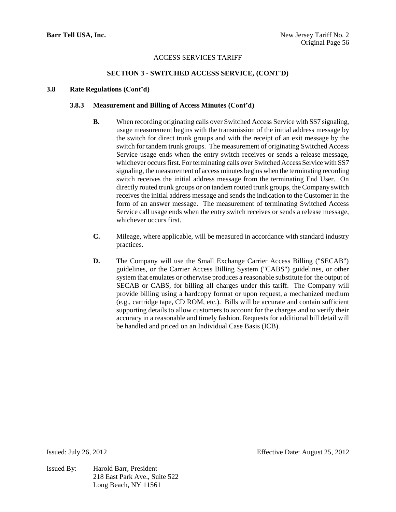## **SECTION 3 - SWITCHED ACCESS SERVICE, (CONT'D)**

## **3.8 Rate Regulations (Cont'd)**

## **3.8.3 Measurement and Billing of Access Minutes (Cont'd)**

- **B.** When recording originating calls over Switched Access Service with SS7 signaling, usage measurement begins with the transmission of the initial address message by the switch for direct trunk groups and with the receipt of an exit message by the switch for tandem trunk groups. The measurement of originating Switched Access Service usage ends when the entry switch receives or sends a release message, whichever occurs first. For terminating calls over Switched Access Service with SS7 signaling, the measurement of access minutes begins when the terminating recording switch receives the initial address message from the terminating End User. On directly routed trunk groups or on tandem routed trunk groups, the Company switch receives the initial address message and sends the indication to the Customer in the form of an answer message. The measurement of terminating Switched Access Service call usage ends when the entry switch receives or sends a release message, whichever occurs first.
- **C.** Mileage, where applicable, will be measured in accordance with standard industry practices.
- **D.** The Company will use the Small Exchange Carrier Access Billing ("SECAB") guidelines, or the Carrier Access Billing System ("CABS") guidelines, or other system that emulates or otherwise produces a reasonable substitute for the output of SECAB or CABS, for billing all charges under this tariff. The Company will provide billing using a hardcopy format or upon request, a mechanized medium (e.g., cartridge tape, CD ROM, etc.). Bills will be accurate and contain sufficient supporting details to allow customers to account for the charges and to verify their accuracy in a reasonable and timely fashion. Requests for additional bill detail will be handled and priced on an Individual Case Basis (ICB).

Issued By: Harold Barr, President 218 East Park Ave., Suite 522 Long Beach, NY 11561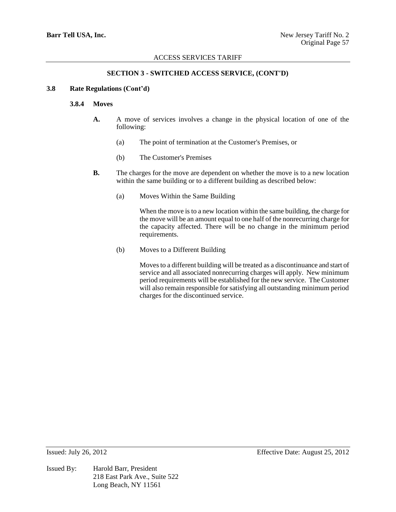## **SECTION 3 - SWITCHED ACCESS SERVICE, (CONT'D)**

## **3.8 Rate Regulations (Cont'd)**

### **3.8.4 Moves**

- **A.** A move of services involves a change in the physical location of one of the following:
	- (a) The point of termination at the Customer's Premises, or
	- (b) The Customer's Premises
- **B.** The charges for the move are dependent on whether the move is to a new location within the same building or to a different building as described below:
	- (a) Moves Within the Same Building

When the move is to a new location within the same building, the charge for the move will be an amount equal to one half of the nonrecurring charge for the capacity affected. There will be no change in the minimum period requirements.

(b) Moves to a Different Building

Moves to a different building will be treated as a discontinuance and start of service and all associated nonrecurring charges will apply. New minimum period requirements will be established for the new service. The Customer will also remain responsible for satisfying all outstanding minimum period charges for the discontinued service.

Issued By: Harold Barr, President 218 East Park Ave., Suite 522 Long Beach, NY 11561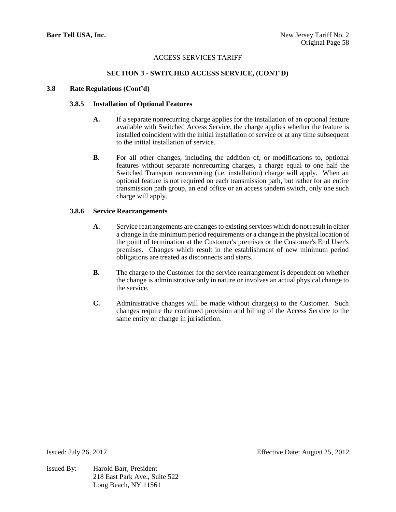## **SECTION 3 - SWITCHED ACCESS SERVICE, (CONT'D)**

# **3.8 Rate Regulations (Cont'd)**

## **3.8.5 Installation of Optional Features**

- **A.** If a separate nonrecurring charge applies for the installation of an optional feature available with Switched Access Service, the charge applies whether the feature is installed coincident with the initial installation of service or at any time subsequent to the initial installation of service.
- **B.** For all other changes, including the addition of, or modifications to, optional features without separate nonrecurring charges, a charge equal to one half the Switched Transport nonrecurring (i.e. installation) charge will apply. When an optional feature is not required on each transmission path, but rather for an entire transmission path group, an end office or an access tandem switch, only one such charge will apply.

### **3.8.6 Service Rearrangements**

- **A.** Service rearrangements are changes to existing services which do not result in either a change in the minimum period requirements or a change in the physical location of the point of termination at the Customer's premises or the Customer's End User's premises. Changes which result in the establishment of new minimum period obligations are treated as disconnects and starts.
- **B.** The charge to the Customer for the service rearrangement is dependent on whether the change is administrative only in nature or involves an actual physical change to the service.
- **C.** Administrative changes will be made without charge(s) to the Customer. Such changes require the continued provision and billing of the Access Service to the same entity or change in jurisdiction.

Issued By: Harold Barr, President 218 East Park Ave., Suite 522 Long Beach, NY 11561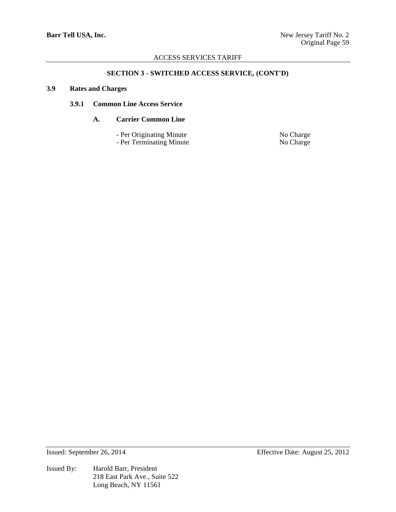# **SECTION 3 - SWITCHED ACCESS SERVICE, (CONT'D)**

### **3.9 Rates and Charges**

## **3.9.1 Common Line Access Service**

# **A. Carrier Common Line**

- Per Originating Minute<br>
 Per Terminating Minute<br>
No Charge
- Per Terminating Minute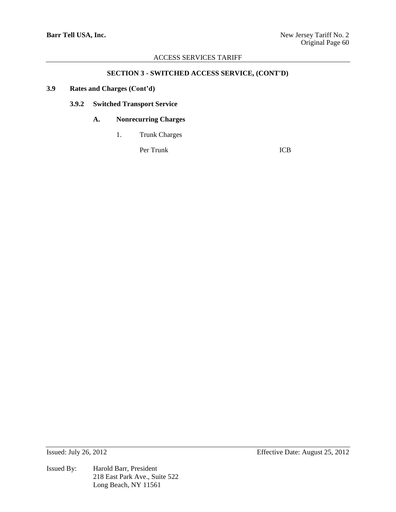# **SECTION 3 - SWITCHED ACCESS SERVICE, (CONT'D)**

# **3.9 Rates and Charges (Cont'd)**

# **3.9.2 Switched Transport Service**

# **A. Nonrecurring Charges**

1. Trunk Charges

Per Trunk ICB

Issued By: Harold Barr, President 218 East Park Ave., Suite 522 Long Beach, NY 11561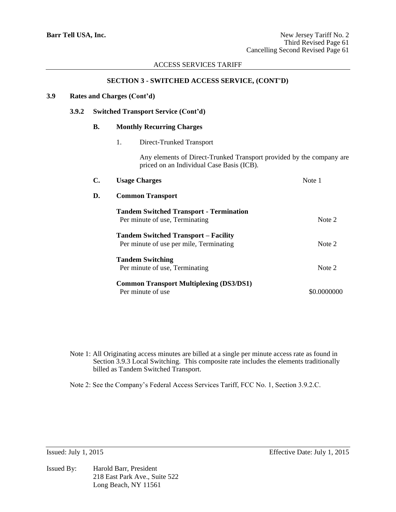## **SECTION 3 - SWITCHED ACCESS SERVICE, (CONT'D)**

## **3.9 Rates and Charges (Cont'd)**

#### **3.9.2 Switched Transport Service (Cont'd)**

#### **B. Monthly Recurring Charges**

1. Direct-Trunked Transport

Any elements of Direct-Trunked Transport provided by the company are priced on an Individual Case Basis (ICB).

| C. | <b>Usage Charges</b>                           | Note 1      |  |
|----|------------------------------------------------|-------------|--|
| D. | <b>Common Transport</b>                        |             |  |
|    | <b>Tandem Switched Transport - Termination</b> |             |  |
|    | Per minute of use, Terminating                 | Note 2      |  |
|    | <b>Tandem Switched Transport – Facility</b>    |             |  |
|    | Per minute of use per mile, Terminating        | Note 2      |  |
|    | <b>Tandem Switching</b>                        |             |  |
|    | Per minute of use, Terminating                 | Note 2      |  |
|    | <b>Common Transport Multiplexing (DS3/DS1)</b> |             |  |
|    | Per minute of use                              | \$0.0000000 |  |

Note 1: All Originating access minutes are billed at a single per minute access rate as found in Section 3.9.3 Local Switching. This composite rate includes the elements traditionally billed as Tandem Switched Transport.

Note 2: See the Company's Federal Access Services Tariff, FCC No. 1, Section 3.9.2.C.

Issued By: Harold Barr, President 218 East Park Ave., Suite 522 Long Beach, NY 11561

Issued: July 1, 2015 Effective Date: July 1, 2015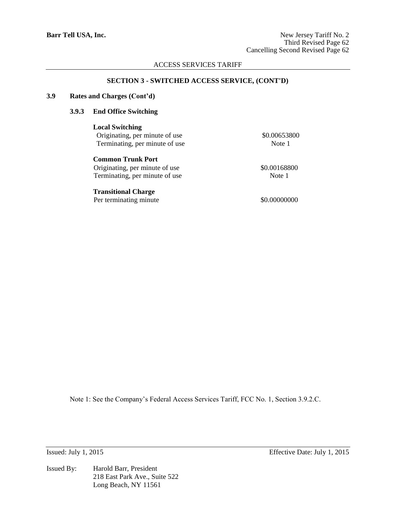#### **SECTION 3 - SWITCHED ACCESS SERVICE, (CONT'D)**

## **3.9 Rates and Charges (Cont'd)**

# **3.9.3 End Office Switching**

**Local Switching** Originating, per minute of use \$0.00653800 Terminating, per minute of use Note 1

**Common Trunk Port** Originating, per minute of use \$0.00168800 Terminating, per minute of use Note 1

## **Transitional Charge**

Per terminating minute  $$0.00000000$ 

Note 1: See the Company's Federal Access Services Tariff, FCC No. 1, Section 3.9.2.C.

Issued By: Harold Barr, President 218 East Park Ave., Suite 522 Long Beach, NY 11561

Issued: July 1, 2015 Effective Date: July 1, 2015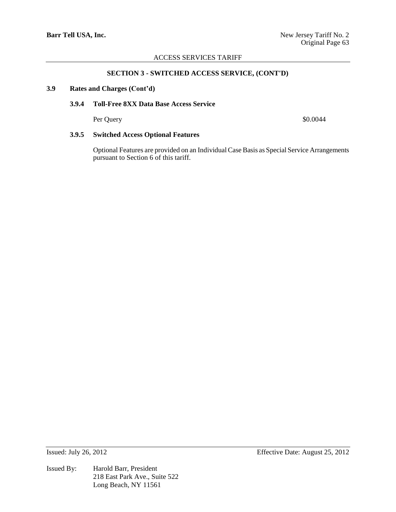#### **SECTION 3 - SWITCHED ACCESS SERVICE, (CONT'D)**

### **3.9 Rates and Charges (Cont'd)**

# **3.9.4 Toll-Free 8XX Data Base Access Service**

Per Query \$0.0044

## **3.9.5 Switched Access Optional Features**

Optional Features are provided on an Individual Case Basis as Special Service Arrangements pursuant to Section 6 of this tariff.

Issued By: Harold Barr, President 218 East Park Ave., Suite 522 Long Beach, NY 11561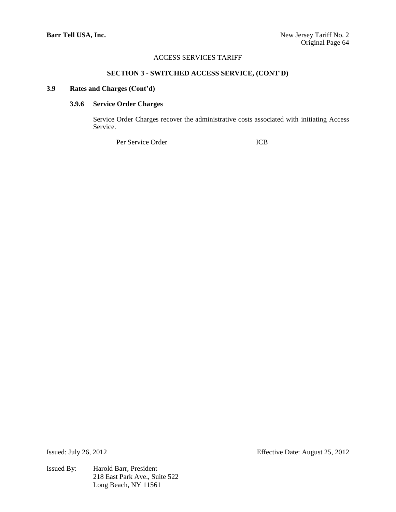## **SECTION 3 - SWITCHED ACCESS SERVICE, (CONT'D)**

### **3.9 Rates and Charges (Cont'd)**

# **3.9.6 Service Order Charges**

Service Order Charges recover the administrative costs associated with initiating Access Service.

Per Service Order ICB

Issued By: Harold Barr, President 218 East Park Ave., Suite 522 Long Beach, NY 11561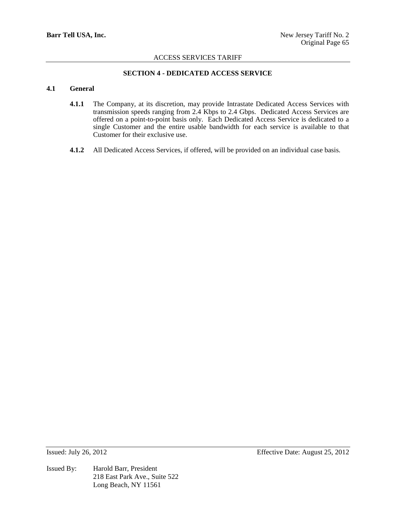## **SECTION 4 - DEDICATED ACCESS SERVICE**

### **4.1 General**

- **4.1.1** The Company, at its discretion, may provide Intrastate Dedicated Access Services with transmission speeds ranging from 2.4 Kbps to 2.4 Gbps. Dedicated Access Services are offered on a point-to-point basis only. Each Dedicated Access Service is dedicated to a single Customer and the entire usable bandwidth for each service is available to that Customer for their exclusive use.
- **4.1.2** All Dedicated Access Services, if offered, will be provided on an individual case basis.

Issued By: Harold Barr, President 218 East Park Ave., Suite 522 Long Beach, NY 11561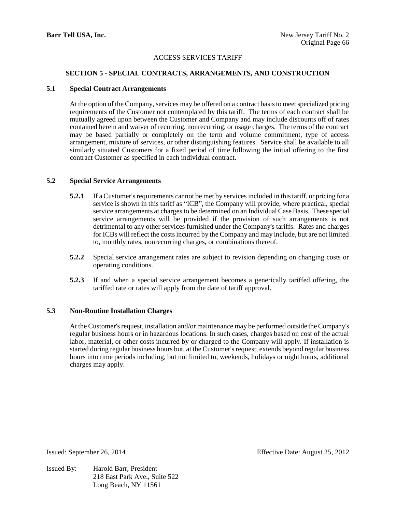## **SECTION 5 - SPECIAL CONTRACTS, ARRANGEMENTS, AND CONSTRUCTION**

## **5.1 Special Contract Arrangements**

At the option of the Company, services may be offered on a contract basis to meet specialized pricing requirements of the Customer not contemplated by this tariff. The terms of each contract shall be mutually agreed upon between the Customer and Company and may include discounts off of rates contained herein and waiver of recurring, nonrecurring, or usage charges. The terms of the contract may be based partially or completely on the term and volume commitment, type of access arrangement, mixture of services, or other distinguishing features. Service shall be available to all similarly situated Customers for a fixed period of time following the initial offering to the first contract Customer as specified in each individual contract.

### **5.2 Special Service Arrangements**

- **5.2.1** If a Customer's requirements cannot be met by services included in this tariff, or pricing for a service is shown in this tariff as "ICB", the Company will provide, where practical, special service arrangements at charges to be determined on an Individual Case Basis. These special service arrangements will be provided if the provision of such arrangements is not detrimental to any other services furnished under the Company's tariffs. Rates and charges for ICBs will reflect the costs incurred by the Company and may include, but are not limited to, monthly rates, nonrecurring charges, or combinations thereof.
- **5.2.2** Special service arrangement rates are subject to revision depending on changing costs or operating conditions.
- **5.2.3** If and when a special service arrangement becomes a generically tariffed offering, the tariffed rate or rates will apply from the date of tariff approval.

## **5.3 Non-Routine Installation Charges**

At the Customer's request, installation and/or maintenance may be performed outside the Company's regular business hours or in hazardous locations. In such cases, charges based on cost of the actual labor, material, or other costs incurred by or charged to the Company will apply. If installation is started during regular business hours but, at the Customer's request, extends beyond regular business hours into time periods including, but not limited to, weekends, holidays or night hours, additional charges may apply.